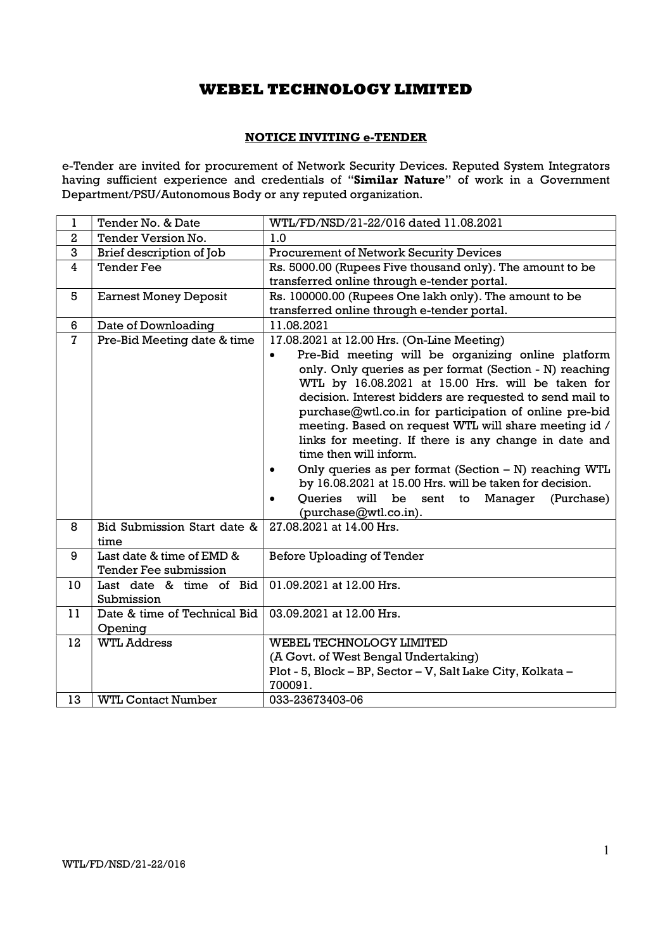### NOTICE INVITING e-TENDER

e-Tender are invited for procurement of Network Security Devices. Reputed System Integrators having sufficient experience and credentials of "Similar Nature" of work in a Government Department/PSU/Autonomous Body or any reputed organization.

| $\mathbf 1$    | Tender No. & Date                                         | WTL/FD/NSD/21-22/016 dated 11.08.2021                                                                                                                                                                                                                                                                                                                                                                                                                                                                                                                                                                                                          |
|----------------|-----------------------------------------------------------|------------------------------------------------------------------------------------------------------------------------------------------------------------------------------------------------------------------------------------------------------------------------------------------------------------------------------------------------------------------------------------------------------------------------------------------------------------------------------------------------------------------------------------------------------------------------------------------------------------------------------------------------|
| $\overline{2}$ | <b>Tender Version No.</b>                                 | 1.0                                                                                                                                                                                                                                                                                                                                                                                                                                                                                                                                                                                                                                            |
| 3              | Brief description of Job                                  | <b>Procurement of Network Security Devices</b>                                                                                                                                                                                                                                                                                                                                                                                                                                                                                                                                                                                                 |
| $\overline{4}$ | <b>Tender Fee</b>                                         | Rs. 5000.00 (Rupees Five thousand only). The amount to be                                                                                                                                                                                                                                                                                                                                                                                                                                                                                                                                                                                      |
|                |                                                           | transferred online through e-tender portal.                                                                                                                                                                                                                                                                                                                                                                                                                                                                                                                                                                                                    |
| 5              | <b>Earnest Money Deposit</b>                              | Rs. 100000.00 (Rupees One lakh only). The amount to be                                                                                                                                                                                                                                                                                                                                                                                                                                                                                                                                                                                         |
|                |                                                           | transferred online through e-tender portal.                                                                                                                                                                                                                                                                                                                                                                                                                                                                                                                                                                                                    |
| 6              | Date of Downloading                                       | 11.08.2021                                                                                                                                                                                                                                                                                                                                                                                                                                                                                                                                                                                                                                     |
| $\overline{7}$ | Pre-Bid Meeting date & time                               | 17.08.2021 at 12.00 Hrs. (On-Line Meeting)                                                                                                                                                                                                                                                                                                                                                                                                                                                                                                                                                                                                     |
|                |                                                           | Pre-Bid meeting will be organizing online platform<br>only. Only queries as per format (Section - N) reaching<br>WTL by 16.08.2021 at 15.00 Hrs. will be taken for<br>decision. Interest bidders are requested to send mail to<br>purchase@wtl.co.in for participation of online pre-bid<br>meeting. Based on request WTL will share meeting id /<br>links for meeting. If there is any change in date and<br>time then will inform.<br>Only queries as per format (Section - N) reaching WTL<br>by 16.08.2021 at 15.00 Hrs. will be taken for decision.<br>Oueries<br>be<br>will<br>sent<br>(Purchase)<br>to Manager<br>(purchase@wtl.co.in). |
| 8              | Bid Submission Start date &<br>time                       | 27.08.2021 at 14.00 Hrs.                                                                                                                                                                                                                                                                                                                                                                                                                                                                                                                                                                                                                       |
| 9              | Last date & time of EMD &<br><b>Tender Fee submission</b> | <b>Before Uploading of Tender</b>                                                                                                                                                                                                                                                                                                                                                                                                                                                                                                                                                                                                              |
| 10             | Last date & time of Bid<br>Submission                     | 01.09.2021 at 12.00 Hrs.                                                                                                                                                                                                                                                                                                                                                                                                                                                                                                                                                                                                                       |
| 11             | Date & time of Technical Bid<br>Opening                   | 03.09.2021 at 12.00 Hrs.                                                                                                                                                                                                                                                                                                                                                                                                                                                                                                                                                                                                                       |
| 12             | <b>WTL Address</b>                                        | <b>WEBEL TECHNOLOGY LIMITED</b>                                                                                                                                                                                                                                                                                                                                                                                                                                                                                                                                                                                                                |
|                |                                                           | (A Govt. of West Bengal Undertaking)                                                                                                                                                                                                                                                                                                                                                                                                                                                                                                                                                                                                           |
|                |                                                           | Plot - 5, Block - BP, Sector - V, Salt Lake City, Kolkata -<br>700091.                                                                                                                                                                                                                                                                                                                                                                                                                                                                                                                                                                         |
| 13             | <b>WTL Contact Number</b>                                 | 033-23673403-06                                                                                                                                                                                                                                                                                                                                                                                                                                                                                                                                                                                                                                |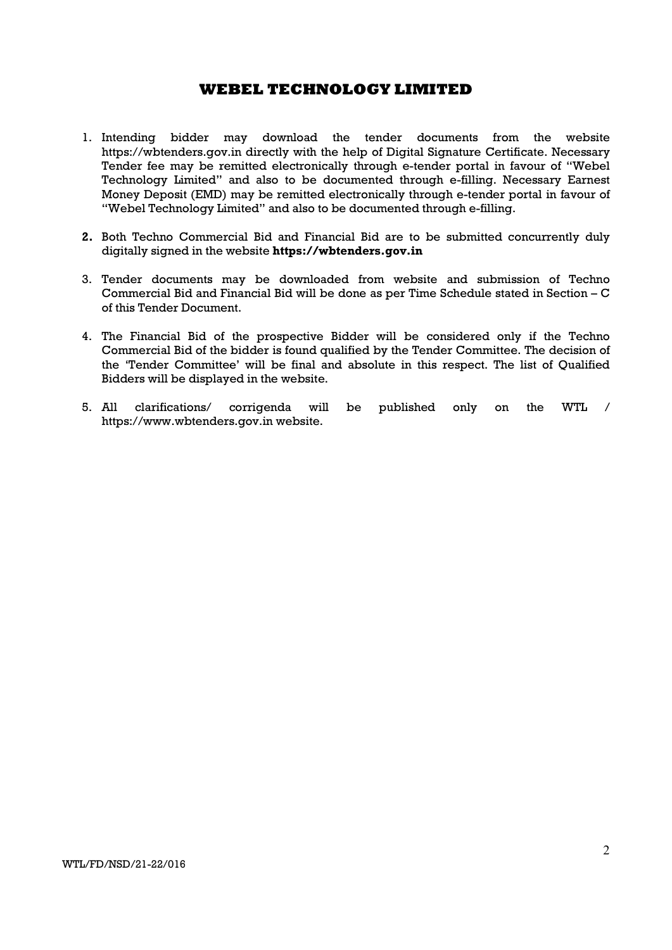- 1. Intending bidder may download the tender documents from the website https://wbtenders.gov.in directly with the help of Digital Signature Certificate. Necessary Tender fee may be remitted electronically through e-tender portal in favour of "Webel Technology Limited" and also to be documented through e-filling. Necessary Earnest Money Deposit (EMD) may be remitted electronically through e-tender portal in favour of "Webel Technology Limited" and also to be documented through e-filling.
- 2. Both Techno Commercial Bid and Financial Bid are to be submitted concurrently duly digitally signed in the website https://wbtenders.gov.in
- 3. Tender documents may be downloaded from website and submission of Techno Commercial Bid and Financial Bid will be done as per Time Schedule stated in Section – C of this Tender Document.
- 4. The Financial Bid of the prospective Bidder will be considered only if the Techno Commercial Bid of the bidder is found qualified by the Tender Committee. The decision of the 'Tender Committee' will be final and absolute in this respect. The list of Qualified Bidders will be displayed in the website.
- 5. All clarifications/ corrigenda will be published only on the WTL / https://www.wbtenders.gov.in website.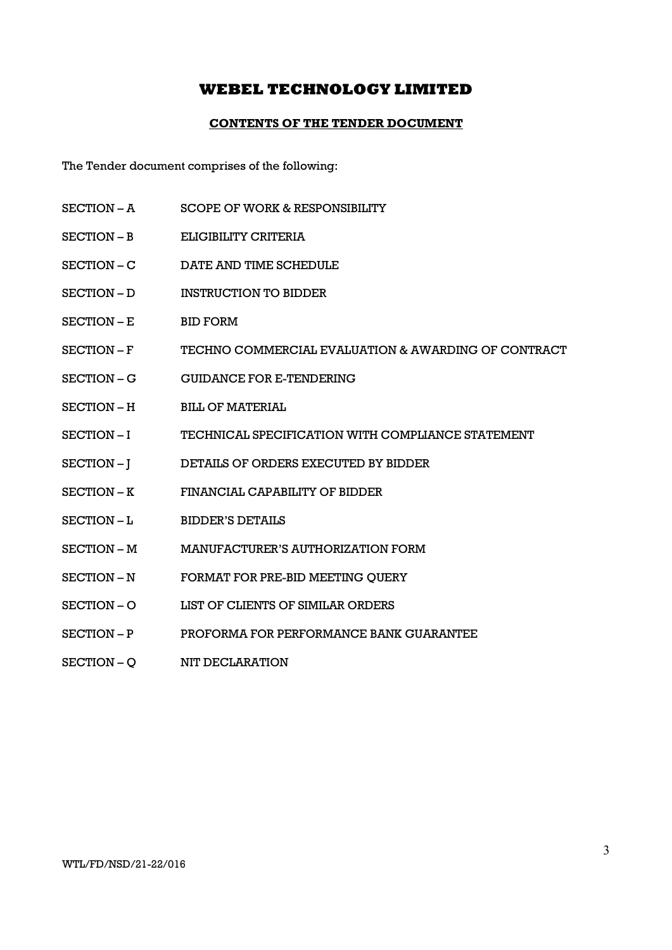### CONTENTS OF THE TENDER DOCUMENT

The Tender document comprises of the following:

- SECTION A SCOPE OF WORK & RESPONSIBILITY
- SECTION B ELIGIBILITY CRITERIA
- SECTION C DATE AND TIME SCHEDULE
- SECTION D INSTRUCTION TO BIDDER
- SECTION E BID FORM
- SECTION F TECHNO COMMERCIAL EVALUATION & AWARDING OF CONTRACT
- SECTION G GUIDANCE FOR E-TENDERING
- SECTION H BILL OF MATERIAL
- SECTION I TECHNICAL SPECIFICATION WITH COMPLIANCE STATEMENT
- SECTION J DETAILS OF ORDERS EXECUTED BY BIDDER
- SECTION K FINANCIAL CAPABILITY OF BIDDER
- SECTION L BIDDER'S DETAILS
- SECTION M MANUFACTURER'S AUTHORIZATION FORM
- SECTION N FORMAT FOR PRE-BID MEETING QUERY
- SECTION O LIST OF CLIENTS OF SIMILAR ORDERS
- SECTION P PROFORMA FOR PERFORMANCE BANK GUARANTEE
- SECTION Q NIT DECLARATION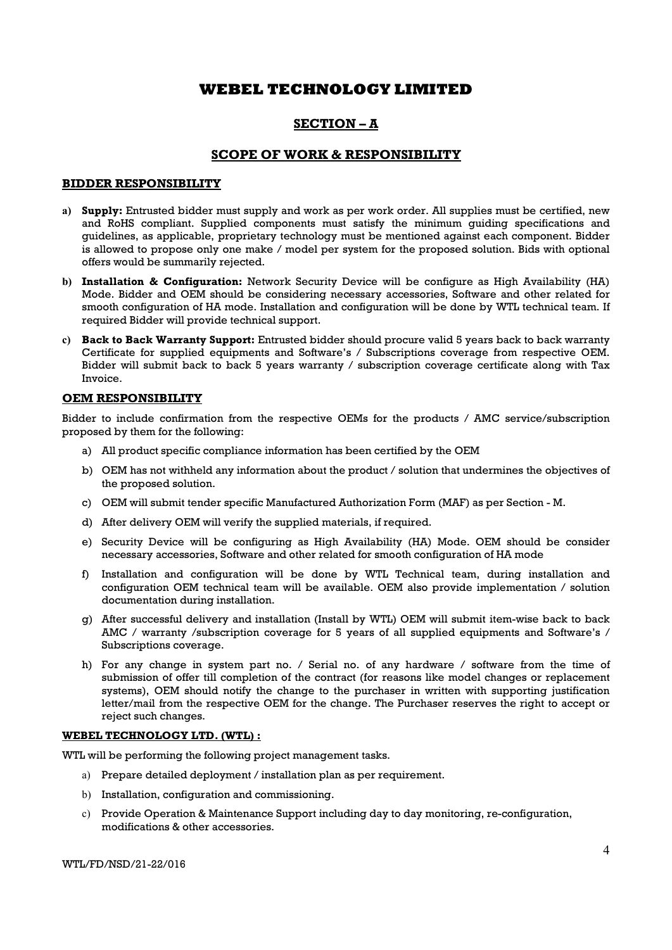### SECTION – A

### SCOPE OF WORK & RESPONSIBILITY

### BIDDER RESPONSIBILITY

- a) Supply: Entrusted bidder must supply and work as per work order. All supplies must be certified, new and RoHS compliant. Supplied components must satisfy the minimum guiding specifications and guidelines, as applicable, proprietary technology must be mentioned against each component. Bidder is allowed to propose only one make / model per system for the proposed solution. Bids with optional offers would be summarily rejected.
- b) Installation & Configuration: Network Security Device will be configure as High Availability (HA) Mode. Bidder and OEM should be considering necessary accessories, Software and other related for smooth configuration of HA mode. Installation and configuration will be done by WTL technical team. If required Bidder will provide technical support.
- c) Back to Back Warranty Support: Entrusted bidder should procure valid 5 years back to back warranty Certificate for supplied equipments and Software's / Subscriptions coverage from respective OEM. Bidder will submit back to back 5 years warranty / subscription coverage certificate along with Tax Invoice.

### OEM RESPONSIBILITY

Bidder to include confirmation from the respective OEMs for the products / AMC service/subscription proposed by them for the following:

- a) All product specific compliance information has been certified by the OEM
- b) OEM has not withheld any information about the product / solution that undermines the objectives of the proposed solution.
- c) OEM will submit tender specific Manufactured Authorization Form (MAF) as per Section M.
- d) After delivery OEM will verify the supplied materials, if required.
- e) Security Device will be configuring as High Availability (HA) Mode. OEM should be consider necessary accessories, Software and other related for smooth configuration of HA mode
- f) Installation and configuration will be done by WTL Technical team, during installation and configuration OEM technical team will be available. OEM also provide implementation / solution documentation during installation.
- g) After successful delivery and installation (Install by WTL) OEM will submit item-wise back to back AMC / warranty /subscription coverage for 5 years of all supplied equipments and Software's / Subscriptions coverage.
- h) For any change in system part no. / Serial no. of any hardware / software from the time of submission of offer till completion of the contract (for reasons like model changes or replacement systems), OEM should notify the change to the purchaser in written with supporting justification letter/mail from the respective OEM for the change. The Purchaser reserves the right to accept or reject such changes.

### WEBEL TECHNOLOGY LTD. (WTL) :

WTL will be performing the following project management tasks.

- a) Prepare detailed deployment / installation plan as per requirement.
- b) Installation, configuration and commissioning.
- c) Provide Operation & Maintenance Support including day to day monitoring, re-configuration, modifications & other accessories.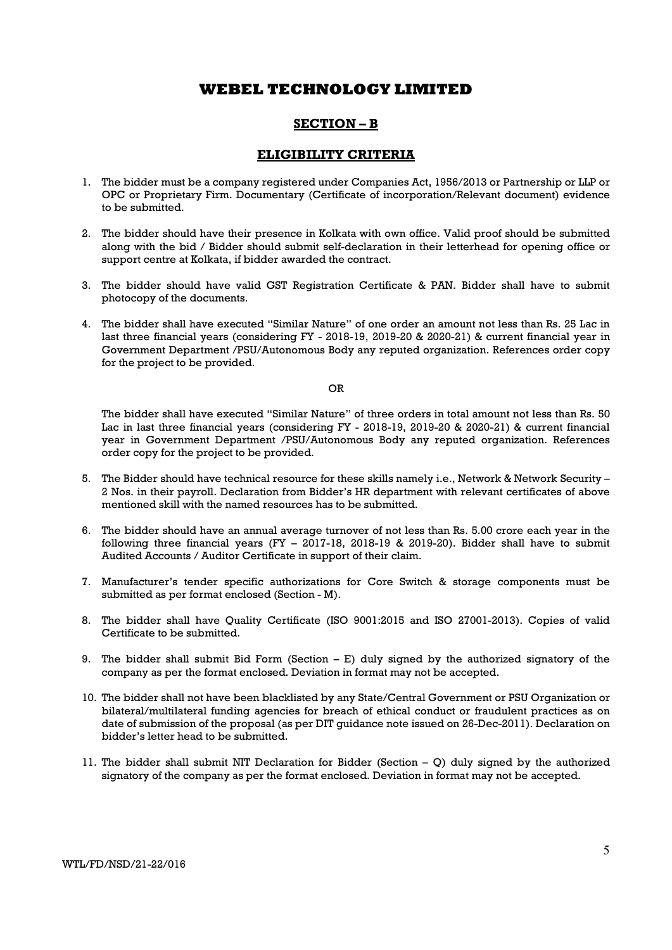### SECTION – B

### ELIGIBILITY CRITERIA

- 1. The bidder must be a company registered under Companies Act, 1956/2013 or Partnership or LLP or OPC or Proprietary Firm. Documentary (Certificate of incorporation/Relevant document) evidence to be submitted.
- 2. The bidder should have their presence in Kolkata with own office. Valid proof should be submitted along with the bid / Bidder should submit self-declaration in their letterhead for opening office or support centre at Kolkata, if bidder awarded the contract.
- 3. The bidder should have valid GST Registration Certificate & PAN. Bidder shall have to submit photocopy of the documents.
- 4. The bidder shall have executed "Similar Nature" of one order an amount not less than Rs. 25 Lac in last three financial years (considering FY - 2018-19, 2019-20 & 2020-21) & current financial year in Government Department /PSU/Autonomous Body any reputed organization. References order copy for the project to be provided.

OR

The bidder shall have executed "Similar Nature" of three orders in total amount not less than Rs. 50 Lac in last three financial years (considering FY - 2018-19, 2019-20 & 2020-21) & current financial year in Government Department /PSU/Autonomous Body any reputed organization. References order copy for the project to be provided.

- 5. The Bidder should have technical resource for these skills namely i.e., Network & Network Security 2 Nos. in their payroll. Declaration from Bidder's HR department with relevant certificates of above mentioned skill with the named resources has to be submitted.
- 6. The bidder should have an annual average turnover of not less than Rs. 5.00 crore each year in the following three financial years (FY – 2017-18, 2018-19 & 2019-20). Bidder shall have to submit Audited Accounts / Auditor Certificate in support of their claim.
- 7. Manufacturer's tender specific authorizations for Core Switch & storage components must be submitted as per format enclosed (Section - M).
- 8. The bidder shall have Quality Certificate (ISO 9001:2015 and ISO 27001-2013). Copies of valid Certificate to be submitted.
- 9. The bidder shall submit Bid Form (Section E) duly signed by the authorized signatory of the company as per the format enclosed. Deviation in format may not be accepted.
- 10. The bidder shall not have been blacklisted by any State/Central Government or PSU Organization or bilateral/multilateral funding agencies for breach of ethical conduct or fraudulent practices as on date of submission of the proposal (as per DIT guidance note issued on 26-Dec-2011). Declaration on bidder's letter head to be submitted.
- 11. The bidder shall submit NIT Declaration for Bidder (Section  $-$  Q) duly signed by the authorized signatory of the company as per the format enclosed. Deviation in format may not be accepted.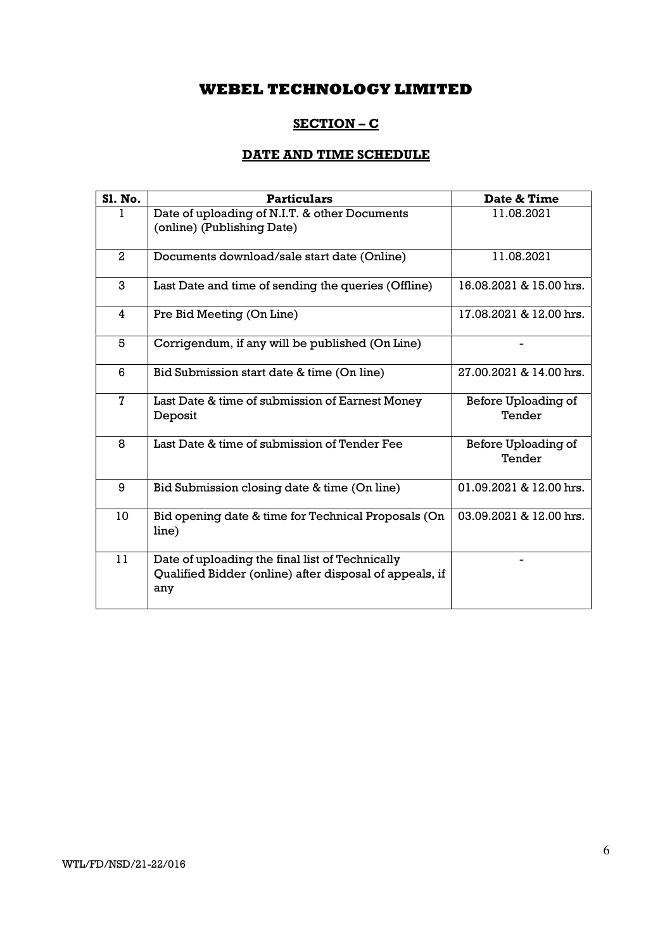# SECTION – C

# DATE AND TIME SCHEDULE

| <b>S1. No.</b> | <b>Particulars</b>                                                                                                | Date & Time                   |
|----------------|-------------------------------------------------------------------------------------------------------------------|-------------------------------|
|                | Date of uploading of N.I.T. & other Documents<br>(online) (Publishing Date)                                       | 11.08.2021                    |
| $\mathbf{2}$   | Documents download/sale start date (Online)                                                                       | 11.08.2021                    |
| 3              | Last Date and time of sending the queries (Offline)                                                               | 16.08.2021 & 15.00 hrs.       |
| 4              | Pre Bid Meeting (On Line)                                                                                         | 17.08.2021 & 12.00 hrs.       |
| 5              | Corrigendum, if any will be published (On Line)                                                                   |                               |
| 6              | Bid Submission start date & time (On line)                                                                        | 27.00.2021 & 14.00 hrs.       |
| 7              | Last Date & time of submission of Earnest Money<br>Deposit                                                        | Before Uploading of<br>Tender |
| 8              | Last Date & time of submission of Tender Fee                                                                      | Before Uploading of<br>Tender |
| 9              | Bid Submission closing date & time (On line)                                                                      | 01.09.2021 & 12.00 hrs.       |
| 10             | Bid opening date & time for Technical Proposals (On<br>line)                                                      | 03.09.2021 & 12.00 hrs.       |
| 11             | Date of uploading the final list of Technically<br>Qualified Bidder (online) after disposal of appeals, if<br>any |                               |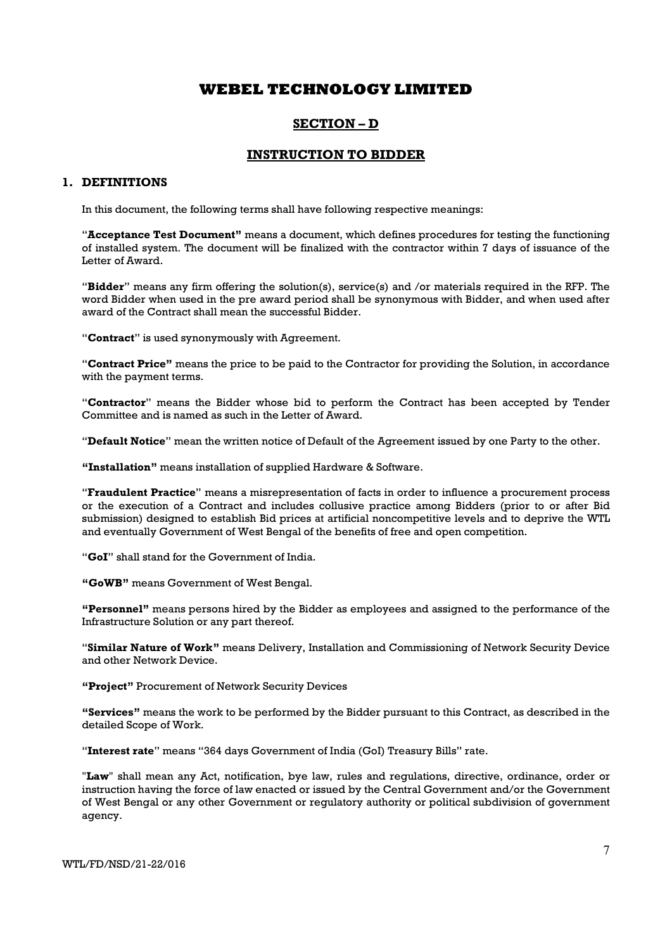### SECTION – D

### INSTRUCTION TO BIDDER

### 1. DEFINITIONS

In this document, the following terms shall have following respective meanings:

"Acceptance Test Document" means a document, which defines procedures for testing the functioning of installed system. The document will be finalized with the contractor within 7 days of issuance of the Letter of Award.

"Bidder" means any firm offering the solution(s), service(s) and /or materials required in the RFP. The word Bidder when used in the pre award period shall be synonymous with Bidder, and when used after award of the Contract shall mean the successful Bidder.

"Contract" is used synonymously with Agreement.

"Contract Price" means the price to be paid to the Contractor for providing the Solution, in accordance with the payment terms.

"Contractor" means the Bidder whose bid to perform the Contract has been accepted by Tender Committee and is named as such in the Letter of Award.

"Default Notice" mean the written notice of Default of the Agreement issued by one Party to the other.

"Installation" means installation of supplied Hardware & Software.

"Fraudulent Practice" means a misrepresentation of facts in order to influence a procurement process or the execution of a Contract and includes collusive practice among Bidders (prior to or after Bid submission) designed to establish Bid prices at artificial noncompetitive levels and to deprive the WTL and eventually Government of West Bengal of the benefits of free and open competition.

"GoI" shall stand for the Government of India.

"GoWB" means Government of West Bengal.

"Personnel" means persons hired by the Bidder as employees and assigned to the performance of the Infrastructure Solution or any part thereof.

"Similar Nature of Work" means Delivery, Installation and Commissioning of Network Security Device and other Network Device.

#### "Project" Procurement of Network Security Devices

"Services" means the work to be performed by the Bidder pursuant to this Contract, as described in the detailed Scope of Work.

"Interest rate" means "364 days Government of India (GoI) Treasury Bills" rate.

"Law" shall mean any Act, notification, bye law, rules and regulations, directive, ordinance, order or instruction having the force of law enacted or issued by the Central Government and/or the Government of West Bengal or any other Government or regulatory authority or political subdivision of government agency.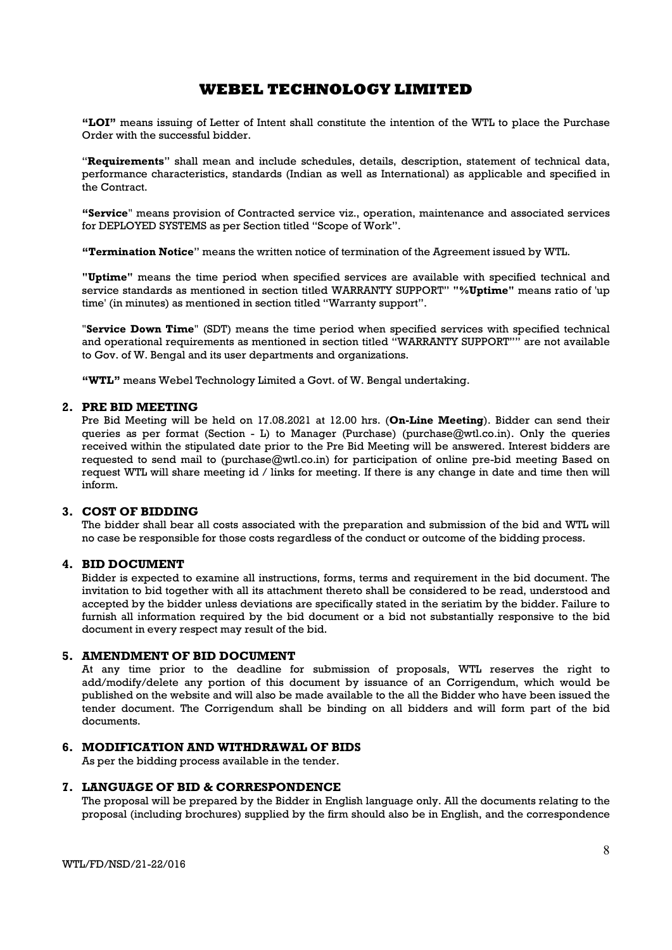"LOI" means issuing of Letter of Intent shall constitute the intention of the WTL to place the Purchase Order with the successful bidder.

"Requirements" shall mean and include schedules, details, description, statement of technical data, performance characteristics, standards (Indian as well as International) as applicable and specified in the Contract.

"Service" means provision of Contracted service viz., operation, maintenance and associated services for DEPLOYED SYSTEMS as per Section titled "Scope of Work".

"Termination Notice" means the written notice of termination of the Agreement issued by WTL.

"Uptime" means the time period when specified services are available with specified technical and service standards as mentioned in section titled WARRANTY SUPPORT" "%Uptime" means ratio of 'up time' (in minutes) as mentioned in section titled "Warranty support".

"Service Down Time" (SDT) means the time period when specified services with specified technical and operational requirements as mentioned in section titled "WARRANTY SUPPORT"<sup>"</sup> are not available to Gov. of W. Bengal and its user departments and organizations.

"WTL" means Webel Technology Limited a Govt. of W. Bengal undertaking.

#### 2. PRE BID MEETING

Pre Bid Meeting will be held on 17.08.2021 at 12.00 hrs. (On-Line Meeting). Bidder can send their queries as per format (Section - L) to Manager (Purchase) (purchase@wtl.co.in). Only the queries received within the stipulated date prior to the Pre Bid Meeting will be answered. Interest bidders are requested to send mail to (purchase@wtl.co.in) for participation of online pre-bid meeting Based on request WTL will share meeting id / links for meeting. If there is any change in date and time then will inform.

### 3. COST OF BIDDING

The bidder shall bear all costs associated with the preparation and submission of the bid and WTL will no case be responsible for those costs regardless of the conduct or outcome of the bidding process.

### 4. BID DOCUMENT

Bidder is expected to examine all instructions, forms, terms and requirement in the bid document. The invitation to bid together with all its attachment thereto shall be considered to be read, understood and accepted by the bidder unless deviations are specifically stated in the seriatim by the bidder. Failure to furnish all information required by the bid document or a bid not substantially responsive to the bid document in every respect may result of the bid.

### 5. AMENDMENT OF BID DOCUMENT

At any time prior to the deadline for submission of proposals, WTL reserves the right to add/modify/delete any portion of this document by issuance of an Corrigendum, which would be published on the website and will also be made available to the all the Bidder who have been issued the tender document. The Corrigendum shall be binding on all bidders and will form part of the bid documents.

### 6. MODIFICATION AND WITHDRAWAL OF BIDS

As per the bidding process available in the tender.

#### 7. LANGUAGE OF BID & CORRESPONDENCE

The proposal will be prepared by the Bidder in English language only. All the documents relating to the proposal (including brochures) supplied by the firm should also be in English, and the correspondence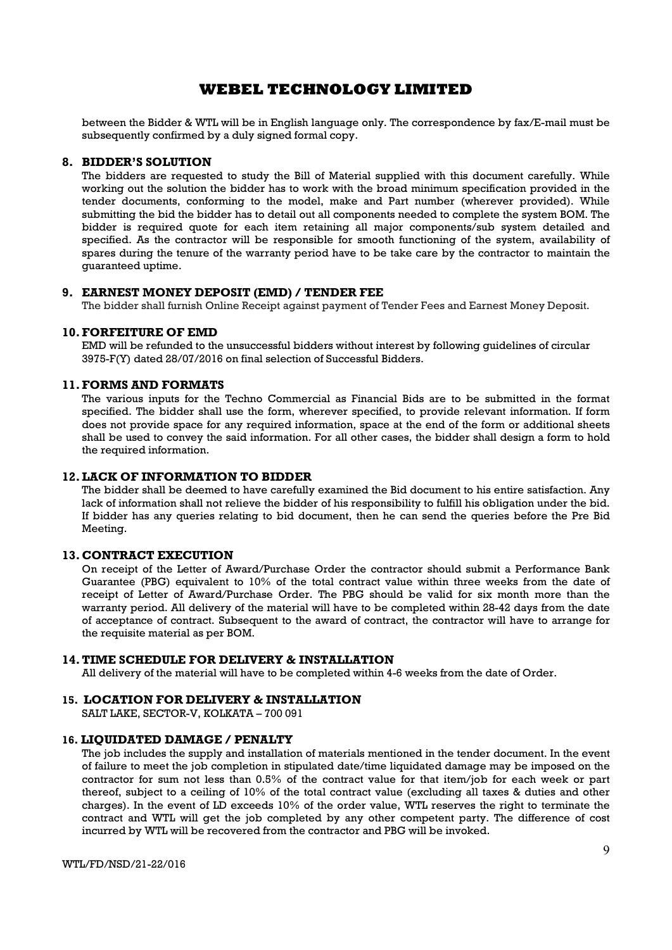between the Bidder & WTL will be in English language only. The correspondence by fax/E-mail must be subsequently confirmed by a duly signed formal copy.

#### 8. BIDDER'S SOLUTION

The bidders are requested to study the Bill of Material supplied with this document carefully. While working out the solution the bidder has to work with the broad minimum specification provided in the tender documents, conforming to the model, make and Part number (wherever provided). While submitting the bid the bidder has to detail out all components needed to complete the system BOM. The bidder is required quote for each item retaining all major components/sub system detailed and specified. As the contractor will be responsible for smooth functioning of the system, availability of spares during the tenure of the warranty period have to be take care by the contractor to maintain the guaranteed uptime.

### 9. EARNEST MONEY DEPOSIT (EMD) / TENDER FEE

The bidder shall furnish Online Receipt against payment of Tender Fees and Earnest Money Deposit.

#### 10.FORFEITURE OF EMD

EMD will be refunded to the unsuccessful bidders without interest by following guidelines of circular 3975-F(Y) dated 28/07/2016 on final selection of Successful Bidders.

#### 11.FORMS AND FORMATS

The various inputs for the Techno Commercial as Financial Bids are to be submitted in the format specified. The bidder shall use the form, wherever specified, to provide relevant information. If form does not provide space for any required information, space at the end of the form or additional sheets shall be used to convey the said information. For all other cases, the bidder shall design a form to hold the required information.

### 12.LACK OF INFORMATION TO BIDDER

The bidder shall be deemed to have carefully examined the Bid document to his entire satisfaction. Any lack of information shall not relieve the bidder of his responsibility to fulfill his obligation under the bid. If bidder has any queries relating to bid document, then he can send the queries before the Pre Bid Meeting.

### 13. CONTRACT EXECUTION

On receipt of the Letter of Award/Purchase Order the contractor should submit a Performance Bank Guarantee (PBG) equivalent to 10% of the total contract value within three weeks from the date of receipt of Letter of Award/Purchase Order. The PBG should be valid for six month more than the warranty period. All delivery of the material will have to be completed within 28-42 days from the date of acceptance of contract. Subsequent to the award of contract, the contractor will have to arrange for the requisite material as per BOM.

### 14.TIME SCHEDULE FOR DELIVERY & INSTALLATION

All delivery of the material will have to be completed within 4-6 weeks from the date of Order.

#### 15. LOCATION FOR DELIVERY & INSTALLATION

SALT LAKE, SECTOR-V, KOLKATA – 700 091

#### 16. LIQUIDATED DAMAGE / PENALTY

The job includes the supply and installation of materials mentioned in the tender document. In the event of failure to meet the job completion in stipulated date/time liquidated damage may be imposed on the contractor for sum not less than 0.5% of the contract value for that item/job for each week or part thereof, subject to a ceiling of 10% of the total contract value (excluding all taxes & duties and other charges). In the event of LD exceeds 10% of the order value, WTL reserves the right to terminate the contract and WTL will get the job completed by any other competent party. The difference of cost incurred by WTL will be recovered from the contractor and PBG will be invoked.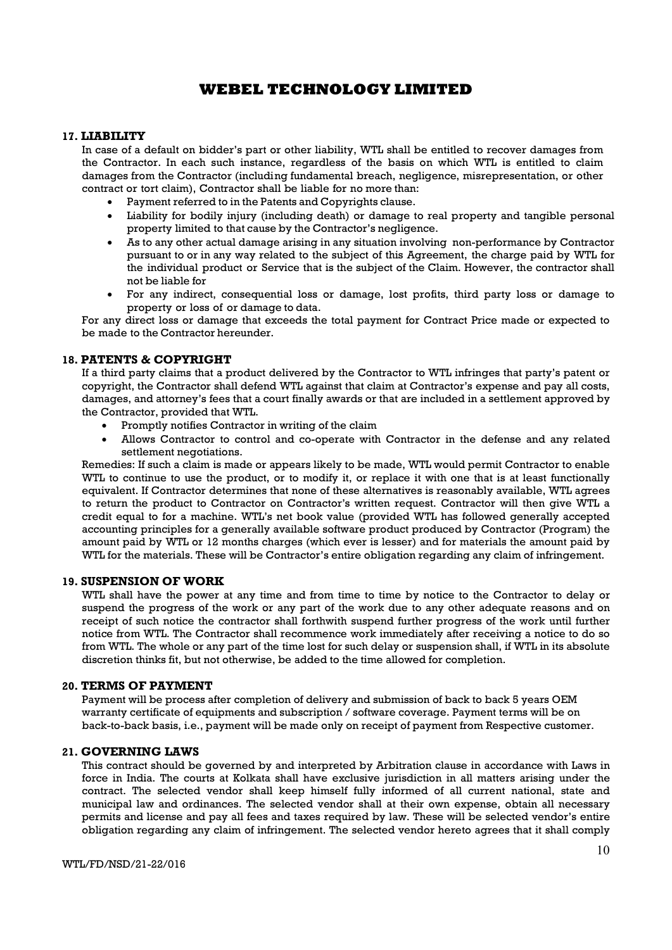#### 17. LIABILITY

In case of a default on bidder's part or other liability, WTL shall be entitled to recover damages from the Contractor. In each such instance, regardless of the basis on which WTL is entitled to claim damages from the Contractor (including fundamental breach, negligence, misrepresentation, or other contract or tort claim), Contractor shall be liable for no more than:

- Payment referred to in the Patents and Copyrights clause.
- Liability for bodily injury (including death) or damage to real property and tangible personal property limited to that cause by the Contractor's negligence.
- As to any other actual damage arising in any situation involving non-performance by Contractor pursuant to or in any way related to the subject of this Agreement, the charge paid by WTL for the individual product or Service that is the subject of the Claim. However, the contractor shall not be liable for
- For any indirect, consequential loss or damage, lost profits, third party loss or damage to property or loss of or damage to data.

For any direct loss or damage that exceeds the total payment for Contract Price made or expected to be made to the Contractor hereunder.

### 18. PATENTS & COPYRIGHT

If a third party claims that a product delivered by the Contractor to WTL infringes that party's patent or copyright, the Contractor shall defend WTL against that claim at Contractor's expense and pay all costs, damages, and attorney's fees that a court finally awards or that are included in a settlement approved by the Contractor, provided that WTL.

- Promptly notifies Contractor in writing of the claim
- Allows Contractor to control and co-operate with Contractor in the defense and any related settlement negotiations.

Remedies: If such a claim is made or appears likely to be made, WTL would permit Contractor to enable WTL to continue to use the product, or to modify it, or replace it with one that is at least functionally equivalent. If Contractor determines that none of these alternatives is reasonably available, WTL agrees to return the product to Contractor on Contractor's written request. Contractor will then give WTL a credit equal to for a machine. WTL's net book value (provided WTL has followed generally accepted accounting principles for a generally available software product produced by Contractor (Program) the amount paid by WTL or 12 months charges (which ever is lesser) and for materials the amount paid by WTL for the materials. These will be Contractor's entire obligation regarding any claim of infringement.

#### 19. SUSPENSION OF WORK

WTL shall have the power at any time and from time to time by notice to the Contractor to delay or suspend the progress of the work or any part of the work due to any other adequate reasons and on receipt of such notice the contractor shall forthwith suspend further progress of the work until further notice from WTL. The Contractor shall recommence work immediately after receiving a notice to do so from WTL. The whole or any part of the time lost for such delay or suspension shall, if WTL in its absolute discretion thinks fit, but not otherwise, be added to the time allowed for completion.

#### 20. TERMS OF PAYMENT

Payment will be process after completion of delivery and submission of back to back 5 years OEM warranty certificate of equipments and subscription / software coverage. Payment terms will be on back-to-back basis, i.e., payment will be made only on receipt of payment from Respective customer.

### 21. GOVERNING LAWS

This contract should be governed by and interpreted by Arbitration clause in accordance with Laws in force in India. The courts at Kolkata shall have exclusive jurisdiction in all matters arising under the contract. The selected vendor shall keep himself fully informed of all current national, state and municipal law and ordinances. The selected vendor shall at their own expense, obtain all necessary permits and license and pay all fees and taxes required by law. These will be selected vendor's entire obligation regarding any claim of infringement. The selected vendor hereto agrees that it shall comply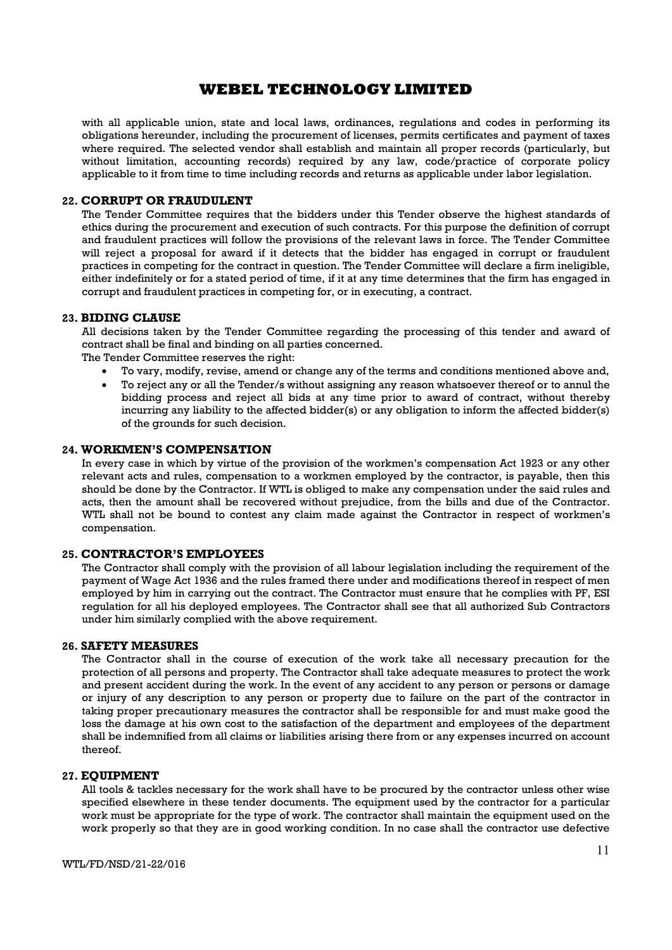with all applicable union, state and local laws, ordinances, regulations and codes in performing its obligations hereunder, including the procurement of licenses, permits certificates and payment of taxes where required. The selected vendor shall establish and maintain all proper records (particularly, but without limitation, accounting records) required by any law, code/practice of corporate policy applicable to it from time to time including records and returns as applicable under labor legislation.

### 22. CORRUPT OR FRAUDULENT

The Tender Committee requires that the bidders under this Tender observe the highest standards of ethics during the procurement and execution of such contracts. For this purpose the definition of corrupt and fraudulent practices will follow the provisions of the relevant laws in force. The Tender Committee will reject a proposal for award if it detects that the bidder has engaged in corrupt or fraudulent practices in competing for the contract in question. The Tender Committee will declare a firm ineligible, either indefinitely or for a stated period of time, if it at any time determines that the firm has engaged in corrupt and fraudulent practices in competing for, or in executing, a contract.

### 23. BIDING CLAUSE

All decisions taken by the Tender Committee regarding the processing of this tender and award of contract shall be final and binding on all parties concerned.

The Tender Committee reserves the right:

- To vary, modify, revise, amend or change any of the terms and conditions mentioned above and,
- To reject any or all the Tender/s without assigning any reason whatsoever thereof or to annul the bidding process and reject all bids at any time prior to award of contract, without thereby incurring any liability to the affected bidder(s) or any obligation to inform the affected bidder(s) of the grounds for such decision.

#### 24. WORKMEN'S COMPENSATION

In every case in which by virtue of the provision of the workmen's compensation Act 1923 or any other relevant acts and rules, compensation to a workmen employed by the contractor, is payable, then this should be done by the Contractor. If WTL is obliged to make any compensation under the said rules and acts, then the amount shall be recovered without prejudice, from the bills and due of the Contractor. WTL shall not be bound to contest any claim made against the Contractor in respect of workmen's compensation.

### 25. CONTRACTOR'S EMPLOYEES

The Contractor shall comply with the provision of all labour legislation including the requirement of the payment of Wage Act 1936 and the rules framed there under and modifications thereof in respect of men employed by him in carrying out the contract. The Contractor must ensure that he complies with PF, ESI regulation for all his deployed employees. The Contractor shall see that all authorized Sub Contractors under him similarly complied with the above requirement.

#### 26. SAFETY MEASURES

The Contractor shall in the course of execution of the work take all necessary precaution for the protection of all persons and property. The Contractor shall take adequate measures to protect the work and present accident during the work. In the event of any accident to any person or persons or damage or injury of any description to any person or property due to failure on the part of the contractor in taking proper precautionary measures the contractor shall be responsible for and must make good the loss the damage at his own cost to the satisfaction of the department and employees of the department shall be indemnified from all claims or liabilities arising there from or any expenses incurred on account thereof.

### 27. EQUIPMENT

All tools & tackles necessary for the work shall have to be procured by the contractor unless other wise specified elsewhere in these tender documents. The equipment used by the contractor for a particular work must be appropriate for the type of work. The contractor shall maintain the equipment used on the work properly so that they are in good working condition. In no case shall the contractor use defective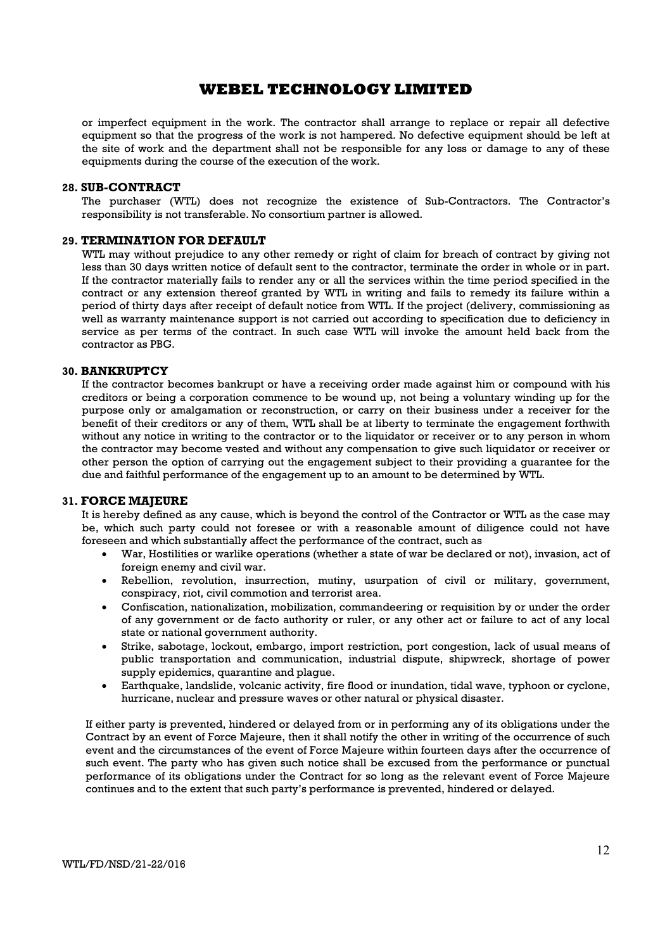or imperfect equipment in the work. The contractor shall arrange to replace or repair all defective equipment so that the progress of the work is not hampered. No defective equipment should be left at the site of work and the department shall not be responsible for any loss or damage to any of these equipments during the course of the execution of the work.

#### 28. SUB-CONTRACT

The purchaser (WTL) does not recognize the existence of Sub-Contractors. The Contractor's responsibility is not transferable. No consortium partner is allowed.

#### 29. TERMINATION FOR DEFAULT

WTL may without prejudice to any other remedy or right of claim for breach of contract by giving not less than 30 days written notice of default sent to the contractor, terminate the order in whole or in part. If the contractor materially fails to render any or all the services within the time period specified in the contract or any extension thereof granted by WTL in writing and fails to remedy its failure within a period of thirty days after receipt of default notice from WTL. If the project (delivery, commissioning as well as warranty maintenance support is not carried out according to specification due to deficiency in service as per terms of the contract. In such case WTL will invoke the amount held back from the contractor as PBG.

#### 30. BANKRUPTCY

If the contractor becomes bankrupt or have a receiving order made against him or compound with his creditors or being a corporation commence to be wound up, not being a voluntary winding up for the purpose only or amalgamation or reconstruction, or carry on their business under a receiver for the benefit of their creditors or any of them, WTL shall be at liberty to terminate the engagement forthwith without any notice in writing to the contractor or to the liquidator or receiver or to any person in whom the contractor may become vested and without any compensation to give such liquidator or receiver or other person the option of carrying out the engagement subject to their providing a guarantee for the due and faithful performance of the engagement up to an amount to be determined by WTL.

#### 31. FORCE MAJEURE

It is hereby defined as any cause, which is beyond the control of the Contractor or WTL as the case may be, which such party could not foresee or with a reasonable amount of diligence could not have foreseen and which substantially affect the performance of the contract, such as

- War, Hostilities or warlike operations (whether a state of war be declared or not), invasion, act of foreign enemy and civil war.
- Rebellion, revolution, insurrection, mutiny, usurpation of civil or military, government, conspiracy, riot, civil commotion and terrorist area.
- Confiscation, nationalization, mobilization, commandeering or requisition by or under the order of any government or de facto authority or ruler, or any other act or failure to act of any local state or national government authority.
- Strike, sabotage, lockout, embargo, import restriction, port congestion, lack of usual means of public transportation and communication, industrial dispute, shipwreck, shortage of power supply epidemics, quarantine and plague.
- Earthquake, landslide, volcanic activity, fire flood or inundation, tidal wave, typhoon or cyclone, hurricane, nuclear and pressure waves or other natural or physical disaster.

If either party is prevented, hindered or delayed from or in performing any of its obligations under the Contract by an event of Force Majeure, then it shall notify the other in writing of the occurrence of such event and the circumstances of the event of Force Majeure within fourteen days after the occurrence of such event. The party who has given such notice shall be excused from the performance or punctual performance of its obligations under the Contract for so long as the relevant event of Force Majeure continues and to the extent that such party's performance is prevented, hindered or delayed.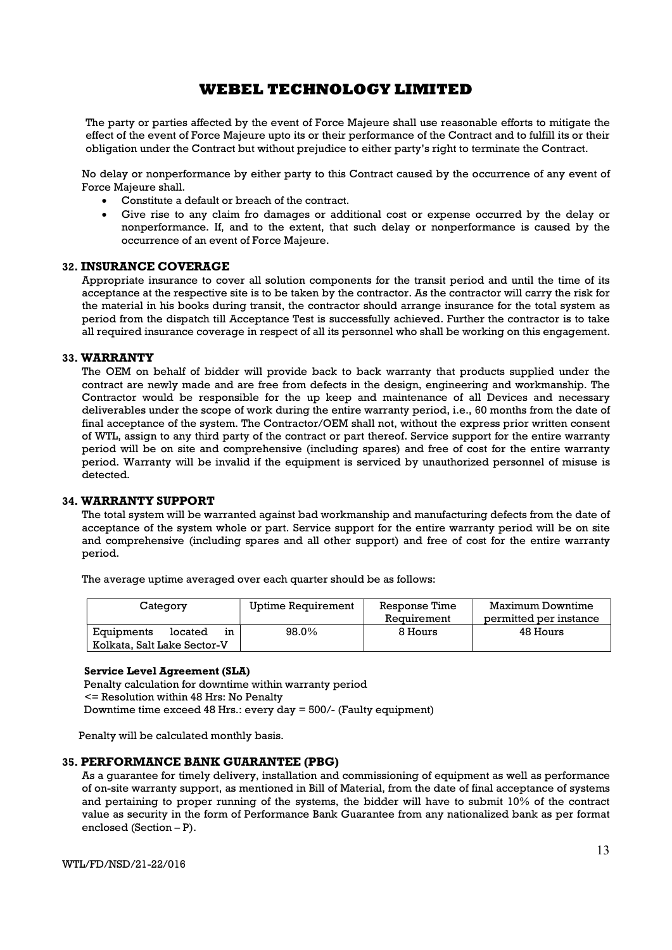The party or parties affected by the event of Force Majeure shall use reasonable efforts to mitigate the effect of the event of Force Majeure upto its or their performance of the Contract and to fulfill its or their obligation under the Contract but without prejudice to either party's right to terminate the Contract.

No delay or nonperformance by either party to this Contract caused by the occurrence of any event of Force Majeure shall.

- Constitute a default or breach of the contract.
- Give rise to any claim fro damages or additional cost or expense occurred by the delay or nonperformance. If, and to the extent, that such delay or nonperformance is caused by the occurrence of an event of Force Majeure.

### 32. INSURANCE COVERAGE

Appropriate insurance to cover all solution components for the transit period and until the time of its acceptance at the respective site is to be taken by the contractor. As the contractor will carry the risk for the material in his books during transit, the contractor should arrange insurance for the total system as period from the dispatch till Acceptance Test is successfully achieved. Further the contractor is to take all required insurance coverage in respect of all its personnel who shall be working on this engagement.

#### 33. WARRANTY

The OEM on behalf of bidder will provide back to back warranty that products supplied under the contract are newly made and are free from defects in the design, engineering and workmanship. The Contractor would be responsible for the up keep and maintenance of all Devices and necessary deliverables under the scope of work during the entire warranty period, i.e., 60 months from the date of final acceptance of the system. The Contractor/OEM shall not, without the express prior written consent of WTL, assign to any third party of the contract or part thereof. Service support for the entire warranty period will be on site and comprehensive (including spares) and free of cost for the entire warranty period. Warranty will be invalid if the equipment is serviced by unauthorized personnel of misuse is detected.

### 34. WARRANTY SUPPORT

The total system will be warranted against bad workmanship and manufacturing defects from the date of acceptance of the system whole or part. Service support for the entire warranty period will be on site and comprehensive (including spares and all other support) and free of cost for the entire warranty period.

The average uptime averaged over each quarter should be as follows:

| Category                                                   | Uptime Requirement | Response Time<br>Requirement | Maximum Downtime<br>permitted per instance |
|------------------------------------------------------------|--------------------|------------------------------|--------------------------------------------|
| Equipments<br>located<br>ın<br>Kolkata. Salt Lake Sector-V | 98.0%              | 8 Hours                      | 48 Hours                                   |

#### Service Level Agreement (SLA)

 Penalty calculation for downtime within warranty period <= Resolution within 48 Hrs: No Penalty Downtime time exceed 48 Hrs.: every day = 500/- (Faulty equipment)

Penalty will be calculated monthly basis.

### 35. PERFORMANCE BANK GUARANTEE (PBG)

As a guarantee for timely delivery, installation and commissioning of equipment as well as performance of on-site warranty support, as mentioned in Bill of Material, from the date of final acceptance of systems and pertaining to proper running of the systems, the bidder will have to submit 10% of the contract value as security in the form of Performance Bank Guarantee from any nationalized bank as per format enclosed (Section – P).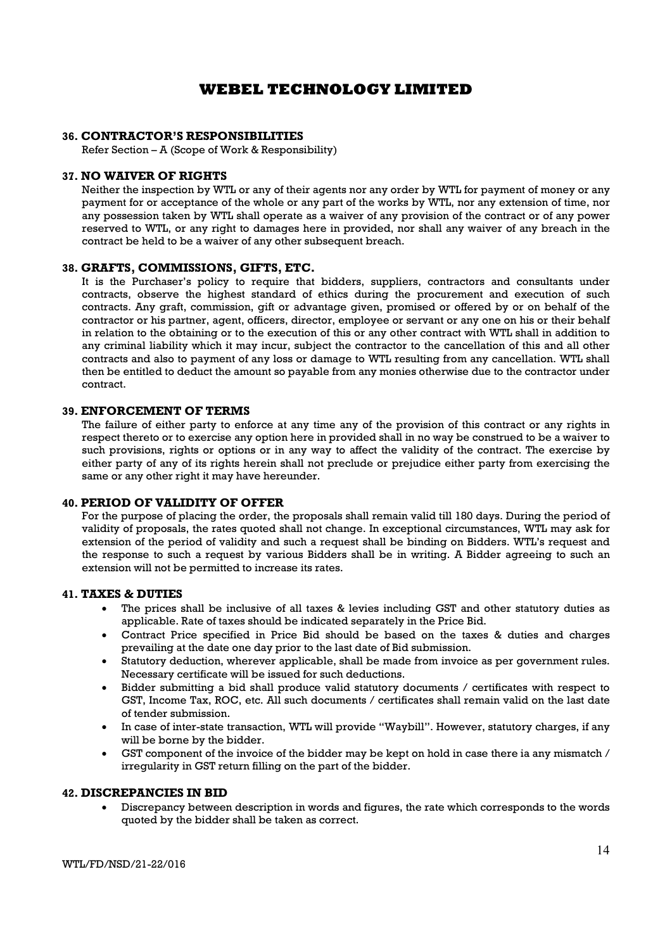### 36. CONTRACTOR'S RESPONSIBILITIES

Refer Section – A (Scope of Work & Responsibility)

#### 37. NO WAIVER OF RIGHTS

Neither the inspection by WTL or any of their agents nor any order by WTL for payment of money or any payment for or acceptance of the whole or any part of the works by WTL, nor any extension of time, nor any possession taken by WTL shall operate as a waiver of any provision of the contract or of any power reserved to WTL, or any right to damages here in provided, nor shall any waiver of any breach in the contract be held to be a waiver of any other subsequent breach.

#### 38. GRAFTS, COMMISSIONS, GIFTS, ETC.

It is the Purchaser's policy to require that bidders, suppliers, contractors and consultants under contracts, observe the highest standard of ethics during the procurement and execution of such contracts. Any graft, commission, gift or advantage given, promised or offered by or on behalf of the contractor or his partner, agent, officers, director, employee or servant or any one on his or their behalf in relation to the obtaining or to the execution of this or any other contract with WTL shall in addition to any criminal liability which it may incur, subject the contractor to the cancellation of this and all other contracts and also to payment of any loss or damage to WTL resulting from any cancellation. WTL shall then be entitled to deduct the amount so payable from any monies otherwise due to the contractor under contract.

#### 39. ENFORCEMENT OF TERMS

The failure of either party to enforce at any time any of the provision of this contract or any rights in respect thereto or to exercise any option here in provided shall in no way be construed to be a waiver to such provisions, rights or options or in any way to affect the validity of the contract. The exercise by either party of any of its rights herein shall not preclude or prejudice either party from exercising the same or any other right it may have hereunder.

### 40. PERIOD OF VALIDITY OF OFFER

For the purpose of placing the order, the proposals shall remain valid till 180 days. During the period of validity of proposals, the rates quoted shall not change. In exceptional circumstances, WTL may ask for extension of the period of validity and such a request shall be binding on Bidders. WTL's request and the response to such a request by various Bidders shall be in writing. A Bidder agreeing to such an extension will not be permitted to increase its rates.

### 41. TAXES & DUTIES

- The prices shall be inclusive of all taxes & levies including GST and other statutory duties as applicable. Rate of taxes should be indicated separately in the Price Bid.
- Contract Price specified in Price Bid should be based on the taxes & duties and charges prevailing at the date one day prior to the last date of Bid submission.
- Statutory deduction, wherever applicable, shall be made from invoice as per government rules. Necessary certificate will be issued for such deductions.
- Bidder submitting a bid shall produce valid statutory documents / certificates with respect to GST, Income Tax, ROC, etc. All such documents / certificates shall remain valid on the last date of tender submission.
- In case of inter-state transaction, WTL will provide "Waybill". However, statutory charges, if any will be borne by the bidder.
- GST component of the invoice of the bidder may be kept on hold in case there ia any mismatch / irregularity in GST return filling on the part of the bidder.

#### 42. DISCREPANCIES IN BID

 Discrepancy between description in words and figures, the rate which corresponds to the words quoted by the bidder shall be taken as correct.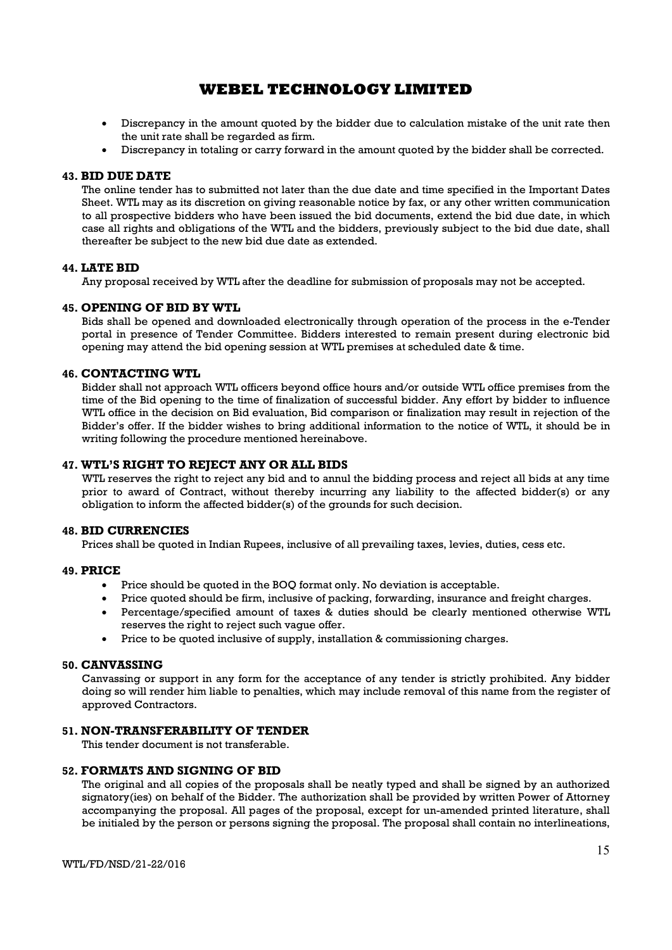- Discrepancy in the amount quoted by the bidder due to calculation mistake of the unit rate then the unit rate shall be regarded as firm.
- Discrepancy in totaling or carry forward in the amount quoted by the bidder shall be corrected.

### 43. BID DUE DATE

The online tender has to submitted not later than the due date and time specified in the Important Dates Sheet. WTL may as its discretion on giving reasonable notice by fax, or any other written communication to all prospective bidders who have been issued the bid documents, extend the bid due date, in which case all rights and obligations of the WTL and the bidders, previously subject to the bid due date, shall thereafter be subject to the new bid due date as extended.

### 44. LATE BID

Any proposal received by WTL after the deadline for submission of proposals may not be accepted.

### 45. OPENING OF BID BY WTL

Bids shall be opened and downloaded electronically through operation of the process in the e-Tender portal in presence of Tender Committee. Bidders interested to remain present during electronic bid opening may attend the bid opening session at WTL premises at scheduled date & time.

### 46. CONTACTING WTL

Bidder shall not approach WTL officers beyond office hours and/or outside WTL office premises from the time of the Bid opening to the time of finalization of successful bidder. Any effort by bidder to influence WTL office in the decision on Bid evaluation, Bid comparison or finalization may result in rejection of the Bidder's offer. If the bidder wishes to bring additional information to the notice of WTL, it should be in writing following the procedure mentioned hereinabove.

### 47. WTL'S RIGHT TO REJECT ANY OR ALL BIDS

WTL reserves the right to reject any bid and to annul the bidding process and reject all bids at any time prior to award of Contract, without thereby incurring any liability to the affected bidder(s) or any obligation to inform the affected bidder(s) of the grounds for such decision.

### 48. BID CURRENCIES

Prices shall be quoted in Indian Rupees, inclusive of all prevailing taxes, levies, duties, cess etc.

### 49. PRICE

- Price should be quoted in the BOQ format only. No deviation is acceptable.
- Price quoted should be firm, inclusive of packing, forwarding, insurance and freight charges.
- Percentage/specified amount of taxes & duties should be clearly mentioned otherwise WTL reserves the right to reject such vague offer.
- Price to be quoted inclusive of supply, installation & commissioning charges.

### 50. CANVASSING

Canvassing or support in any form for the acceptance of any tender is strictly prohibited. Any bidder doing so will render him liable to penalties, which may include removal of this name from the register of approved Contractors.

### 51. NON-TRANSFERABILITY OF TENDER

This tender document is not transferable.

### 52. FORMATS AND SIGNING OF BID

The original and all copies of the proposals shall be neatly typed and shall be signed by an authorized signatory(ies) on behalf of the Bidder. The authorization shall be provided by written Power of Attorney accompanying the proposal. All pages of the proposal, except for un-amended printed literature, shall be initialed by the person or persons signing the proposal. The proposal shall contain no interlineations,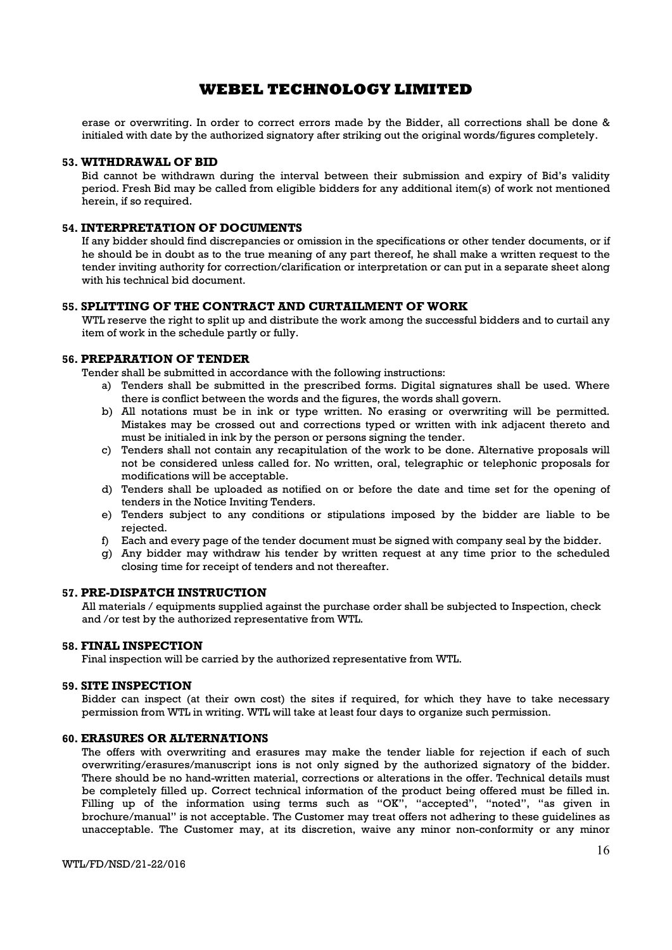erase or overwriting. In order to correct errors made by the Bidder, all corrections shall be done & initialed with date by the authorized signatory after striking out the original words/figures completely.

#### 53. WITHDRAWAL OF BID

Bid cannot be withdrawn during the interval between their submission and expiry of Bid's validity period. Fresh Bid may be called from eligible bidders for any additional item(s) of work not mentioned herein, if so required.

### 54. INTERPRETATION OF DOCUMENTS

If any bidder should find discrepancies or omission in the specifications or other tender documents, or if he should be in doubt as to the true meaning of any part thereof, he shall make a written request to the tender inviting authority for correction/clarification or interpretation or can put in a separate sheet along with his technical bid document.

### 55. SPLITTING OF THE CONTRACT AND CURTAILMENT OF WORK

WTL reserve the right to split up and distribute the work among the successful bidders and to curtail any item of work in the schedule partly or fully.

### 56. PREPARATION OF TENDER

Tender shall be submitted in accordance with the following instructions:

- a) Tenders shall be submitted in the prescribed forms. Digital signatures shall be used. Where there is conflict between the words and the figures, the words shall govern.
- b) All notations must be in ink or type written. No erasing or overwriting will be permitted. Mistakes may be crossed out and corrections typed or written with ink adjacent thereto and must be initialed in ink by the person or persons signing the tender.
- c) Tenders shall not contain any recapitulation of the work to be done. Alternative proposals will not be considered unless called for. No written, oral, telegraphic or telephonic proposals for modifications will be acceptable.
- d) Tenders shall be uploaded as notified on or before the date and time set for the opening of tenders in the Notice Inviting Tenders.
- e) Tenders subject to any conditions or stipulations imposed by the bidder are liable to be rejected.
- f) Each and every page of the tender document must be signed with company seal by the bidder.
- g) Any bidder may withdraw his tender by written request at any time prior to the scheduled closing time for receipt of tenders and not thereafter.

### 57. PRE-DISPATCH INSTRUCTION

All materials / equipments supplied against the purchase order shall be subjected to Inspection, check and /or test by the authorized representative from WTL.

#### 58. FINAL INSPECTION

Final inspection will be carried by the authorized representative from WTL.

#### 59. SITE INSPECTION

Bidder can inspect (at their own cost) the sites if required, for which they have to take necessary permission from WTL in writing. WTL will take at least four days to organize such permission.

### 60. ERASURES OR ALTERNATIONS

The offers with overwriting and erasures may make the tender liable for rejection if each of such overwriting/erasures/manuscript ions is not only signed by the authorized signatory of the bidder. There should be no hand-written material, corrections or alterations in the offer. Technical details must be completely filled up. Correct technical information of the product being offered must be filled in. Filling up of the information using terms such as "OK", "accepted", "noted", "as given in brochure/manual" is not acceptable. The Customer may treat offers not adhering to these guidelines as unacceptable. The Customer may, at its discretion, waive any minor non-conformity or any minor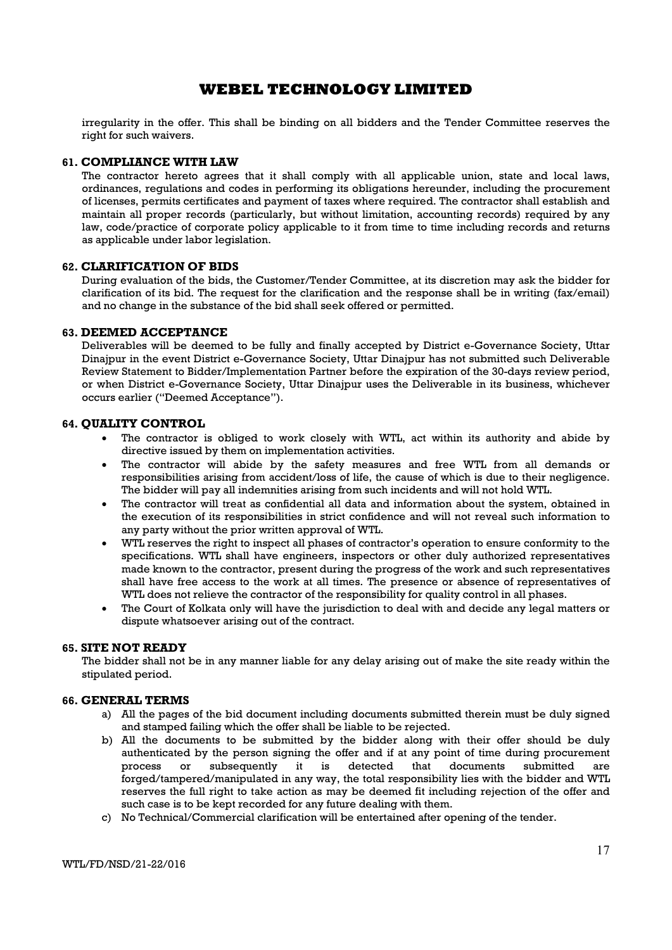irregularity in the offer. This shall be binding on all bidders and the Tender Committee reserves the right for such waivers.

#### 61. COMPLIANCE WITH LAW

The contractor hereto agrees that it shall comply with all applicable union, state and local laws, ordinances, regulations and codes in performing its obligations hereunder, including the procurement of licenses, permits certificates and payment of taxes where required. The contractor shall establish and maintain all proper records (particularly, but without limitation, accounting records) required by any law, code/practice of corporate policy applicable to it from time to time including records and returns as applicable under labor legislation.

### 62. CLARIFICATION OF BIDS

During evaluation of the bids, the Customer/Tender Committee, at its discretion may ask the bidder for clarification of its bid. The request for the clarification and the response shall be in writing (fax/email) and no change in the substance of the bid shall seek offered or permitted.

#### 63. DEEMED ACCEPTANCE

Deliverables will be deemed to be fully and finally accepted by District e-Governance Society, Uttar Dinajpur in the event District e-Governance Society, Uttar Dinajpur has not submitted such Deliverable Review Statement to Bidder/Implementation Partner before the expiration of the 30-days review period, or when District e-Governance Society, Uttar Dinajpur uses the Deliverable in its business, whichever occurs earlier ("Deemed Acceptance").

#### 64. QUALITY CONTROL

- The contractor is obliged to work closely with WTL, act within its authority and abide by directive issued by them on implementation activities.
- The contractor will abide by the safety measures and free WTL from all demands or responsibilities arising from accident/loss of life, the cause of which is due to their negligence. The bidder will pay all indemnities arising from such incidents and will not hold WTL.
- The contractor will treat as confidential all data and information about the system, obtained in the execution of its responsibilities in strict confidence and will not reveal such information to any party without the prior written approval of WTL.
- WTL reserves the right to inspect all phases of contractor's operation to ensure conformity to the specifications. WTL shall have engineers, inspectors or other duly authorized representatives made known to the contractor, present during the progress of the work and such representatives shall have free access to the work at all times. The presence or absence of representatives of WTL does not relieve the contractor of the responsibility for quality control in all phases.
- The Court of Kolkata only will have the jurisdiction to deal with and decide any legal matters or dispute whatsoever arising out of the contract.

### 65. SITE NOT READY

The bidder shall not be in any manner liable for any delay arising out of make the site ready within the stipulated period.

#### 66. GENERAL TERMS

- a) All the pages of the bid document including documents submitted therein must be duly signed and stamped failing which the offer shall be liable to be rejected.
- b) All the documents to be submitted by the bidder along with their offer should be duly authenticated by the person signing the offer and if at any point of time during procurement process or subsequently it is detected that documents submitted are forged/tampered/manipulated in any way, the total responsibility lies with the bidder and WTL reserves the full right to take action as may be deemed fit including rejection of the offer and such case is to be kept recorded for any future dealing with them.
- c) No Technical/Commercial clarification will be entertained after opening of the tender.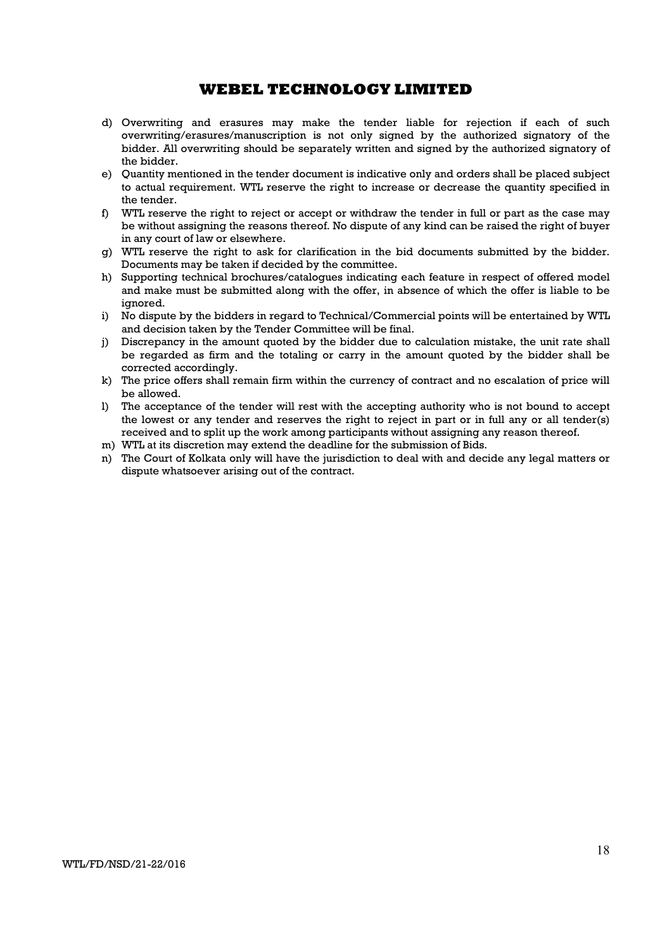- d) Overwriting and erasures may make the tender liable for rejection if each of such overwriting/erasures/manuscription is not only signed by the authorized signatory of the bidder. All overwriting should be separately written and signed by the authorized signatory of the bidder.
- e) Quantity mentioned in the tender document is indicative only and orders shall be placed subject to actual requirement. WTL reserve the right to increase or decrease the quantity specified in the tender.
- f) WTL reserve the right to reject or accept or withdraw the tender in full or part as the case may be without assigning the reasons thereof. No dispute of any kind can be raised the right of buyer in any court of law or elsewhere.
- g) WTL reserve the right to ask for clarification in the bid documents submitted by the bidder. Documents may be taken if decided by the committee.
- h) Supporting technical brochures/catalogues indicating each feature in respect of offered model and make must be submitted along with the offer, in absence of which the offer is liable to be ignored.
- i) No dispute by the bidders in regard to Technical/Commercial points will be entertained by WTL and decision taken by the Tender Committee will be final.
- j) Discrepancy in the amount quoted by the bidder due to calculation mistake, the unit rate shall be regarded as firm and the totaling or carry in the amount quoted by the bidder shall be corrected accordingly.
- k) The price offers shall remain firm within the currency of contract and no escalation of price will be allowed.
- l) The acceptance of the tender will rest with the accepting authority who is not bound to accept the lowest or any tender and reserves the right to reject in part or in full any or all tender(s) received and to split up the work among participants without assigning any reason thereof.
- m) WTL at its discretion may extend the deadline for the submission of Bids.
- n) The Court of Kolkata only will have the jurisdiction to deal with and decide any legal matters or dispute whatsoever arising out of the contract.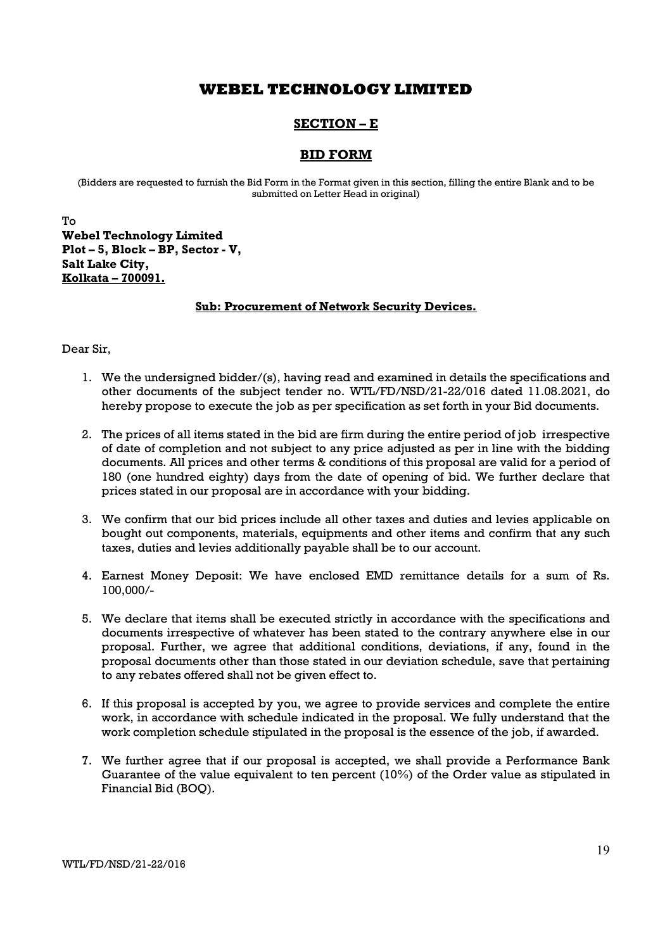# SECTION – E

### BID FORM

(Bidders are requested to furnish the Bid Form in the Format given in this section, filling the entire Blank and to be submitted on Letter Head in original)

To Webel Technology Limited Plot – 5, Block – BP, Sector - V, Salt Lake City, Kolkata – 700091.

### Sub: Procurement of Network Security Devices.

Dear Sir,

- 1. We the undersigned bidder/(s), having read and examined in details the specifications and other documents of the subject tender no. WTL/FD/NSD/21-22/016 dated 11.08.2021, do hereby propose to execute the job as per specification as set forth in your Bid documents.
- 2. The prices of all items stated in the bid are firm during the entire period of job irrespective of date of completion and not subject to any price adjusted as per in line with the bidding documents. All prices and other terms & conditions of this proposal are valid for a period of 180 (one hundred eighty) days from the date of opening of bid. We further declare that prices stated in our proposal are in accordance with your bidding.
- 3. We confirm that our bid prices include all other taxes and duties and levies applicable on bought out components, materials, equipments and other items and confirm that any such taxes, duties and levies additionally payable shall be to our account.
- 4. Earnest Money Deposit: We have enclosed EMD remittance details for a sum of Rs. 100,000/-
- 5. We declare that items shall be executed strictly in accordance with the specifications and documents irrespective of whatever has been stated to the contrary anywhere else in our proposal. Further, we agree that additional conditions, deviations, if any, found in the proposal documents other than those stated in our deviation schedule, save that pertaining to any rebates offered shall not be given effect to.
- 6. If this proposal is accepted by you, we agree to provide services and complete the entire work, in accordance with schedule indicated in the proposal. We fully understand that the work completion schedule stipulated in the proposal is the essence of the job, if awarded.
- 7. We further agree that if our proposal is accepted, we shall provide a Performance Bank Guarantee of the value equivalent to ten percent (10%) of the Order value as stipulated in Financial Bid (BOQ).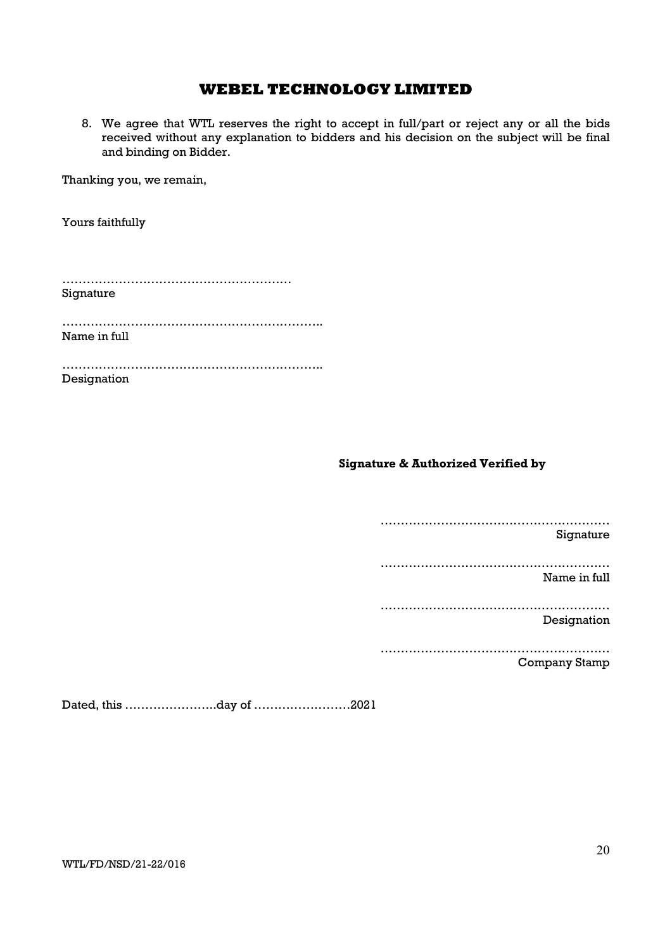8. We agree that WTL reserves the right to accept in full/part or reject any or all the bids received without any explanation to bidders and his decision on the subject will be final and binding on Bidder.

Thanking you, we remain,

Yours faithfully

| Signature    |  |  |
|--------------|--|--|
| Name in full |  |  |

……………………………………………………….. Designation

Signature & Authorized Verified by

…………………………………………………

Signature

…………………………………………………

Name in full

…………………………………………………

Designation

…………………………………………………

Company Stamp

Dated, this …………………..day of ……………………2021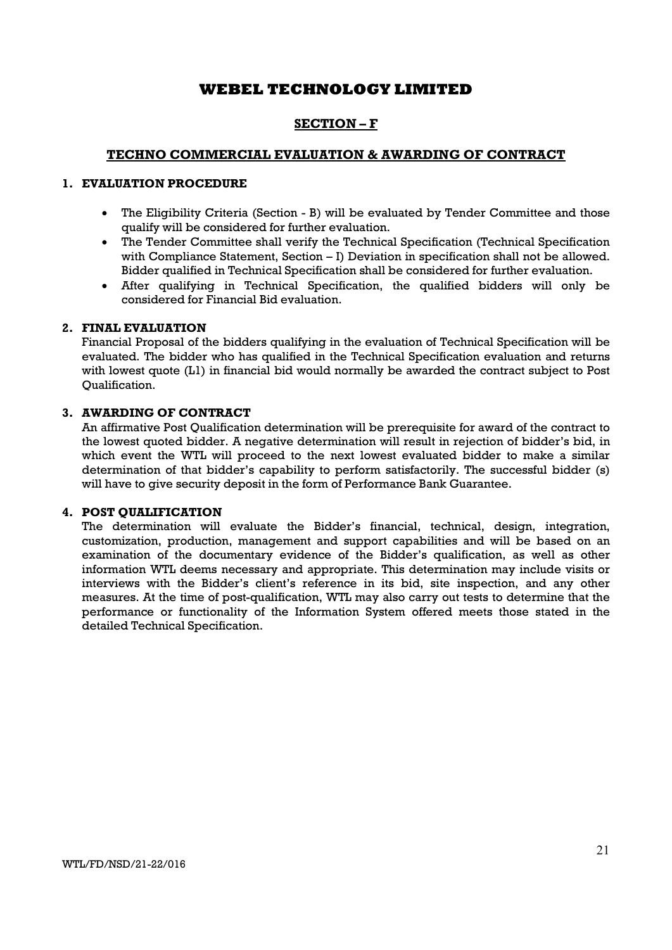# SECTION – F

### TECHNO COMMERCIAL EVALUATION & AWARDING OF CONTRACT

### 1. EVALUATION PROCEDURE

- The Eligibility Criteria (Section B) will be evaluated by Tender Committee and those qualify will be considered for further evaluation.
- The Tender Committee shall verify the Technical Specification (Technical Specification with Compliance Statement, Section – I) Deviation in specification shall not be allowed. Bidder qualified in Technical Specification shall be considered for further evaluation.
- After qualifying in Technical Specification, the qualified bidders will only be considered for Financial Bid evaluation.

### 2. FINAL EVALUATION

Financial Proposal of the bidders qualifying in the evaluation of Technical Specification will be evaluated. The bidder who has qualified in the Technical Specification evaluation and returns with lowest quote (L1) in financial bid would normally be awarded the contract subject to Post Qualification.

### 3. AWARDING OF CONTRACT

An affirmative Post Qualification determination will be prerequisite for award of the contract to the lowest quoted bidder. A negative determination will result in rejection of bidder's bid, in which event the WTL will proceed to the next lowest evaluated bidder to make a similar determination of that bidder's capability to perform satisfactorily. The successful bidder (s) will have to give security deposit in the form of Performance Bank Guarantee.

### 4. POST QUALIFICATION

The determination will evaluate the Bidder's financial, technical, design, integration, customization, production, management and support capabilities and will be based on an examination of the documentary evidence of the Bidder's qualification, as well as other information WTL deems necessary and appropriate. This determination may include visits or interviews with the Bidder's client's reference in its bid, site inspection, and any other measures. At the time of post-qualification, WTL may also carry out tests to determine that the performance or functionality of the Information System offered meets those stated in the detailed Technical Specification.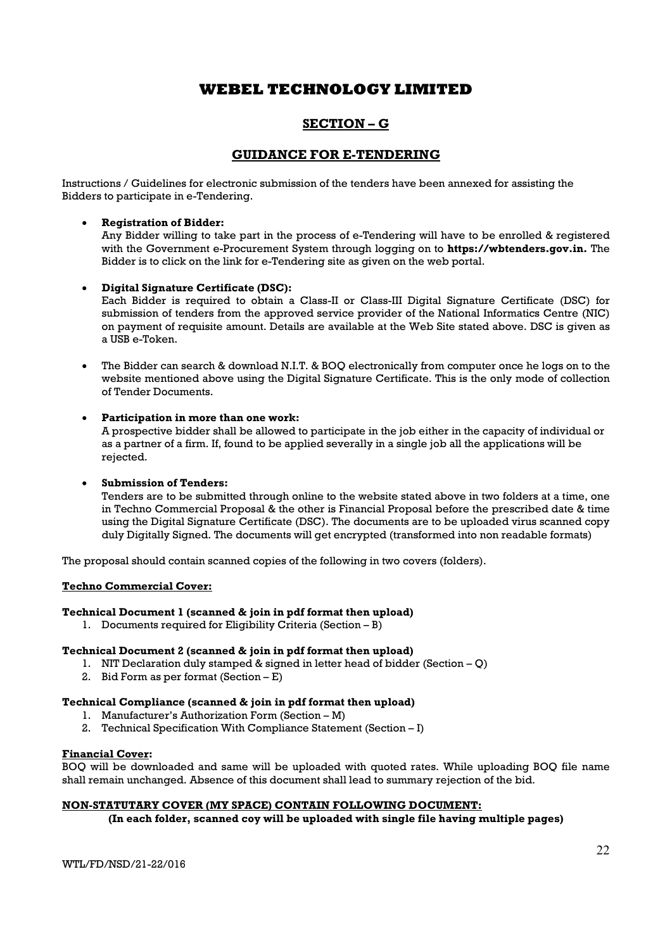# SECTION – G

### GUIDANCE FOR E-TENDERING

Instructions / Guidelines for electronic submission of the tenders have been annexed for assisting the Bidders to participate in e-Tendering.

### Registration of Bidder:

Any Bidder willing to take part in the process of e-Tendering will have to be enrolled & registered with the Government e-Procurement System through logging on to https://wbtenders.gov.in. The Bidder is to click on the link for e-Tendering site as given on the web portal.

### Digital Signature Certificate (DSC):

Each Bidder is required to obtain a Class-II or Class-III Digital Signature Certificate (DSC) for submission of tenders from the approved service provider of the National Informatics Centre (NIC) on payment of requisite amount. Details are available at the Web Site stated above. DSC is given as a USB e-Token.

 The Bidder can search & download N.I.T. & BOQ electronically from computer once he logs on to the website mentioned above using the Digital Signature Certificate. This is the only mode of collection of Tender Documents.

### Participation in more than one work:

A prospective bidder shall be allowed to participate in the job either in the capacity of individual or as a partner of a firm. If, found to be applied severally in a single job all the applications will be rejected.

### Submission of Tenders:

Tenders are to be submitted through online to the website stated above in two folders at a time, one in Techno Commercial Proposal & the other is Financial Proposal before the prescribed date & time using the Digital Signature Certificate (DSC). The documents are to be uploaded virus scanned copy duly Digitally Signed. The documents will get encrypted (transformed into non readable formats)

The proposal should contain scanned copies of the following in two covers (folders).

### Techno Commercial Cover:

### Technical Document 1 (scanned & join in pdf format then upload)

1. Documents required for Eligibility Criteria (Section –  $\overline{B}$ )

### Technical Document 2 (scanned & join in pdf format then upload)

- 1. NIT Declaration duly stamped & signed in letter head of bidder (Section Q)
- 2. Bid Form as per format  $(Section E)$

### Technical Compliance (scanned & join in pdf format then upload)

- 1. Manufacturer's Authorization Form (Section M)
- 2. Technical Specification With Compliance Statement (Section I)

### Financial Cover:

BOQ will be downloaded and same will be uploaded with quoted rates. While uploading BOQ file name shall remain unchanged. Absence of this document shall lead to summary rejection of the bid.

### NON-STATUTARY COVER (MY SPACE) CONTAIN FOLLOWING DOCUMENT:

(In each folder, scanned coy will be uploaded with single file having multiple pages)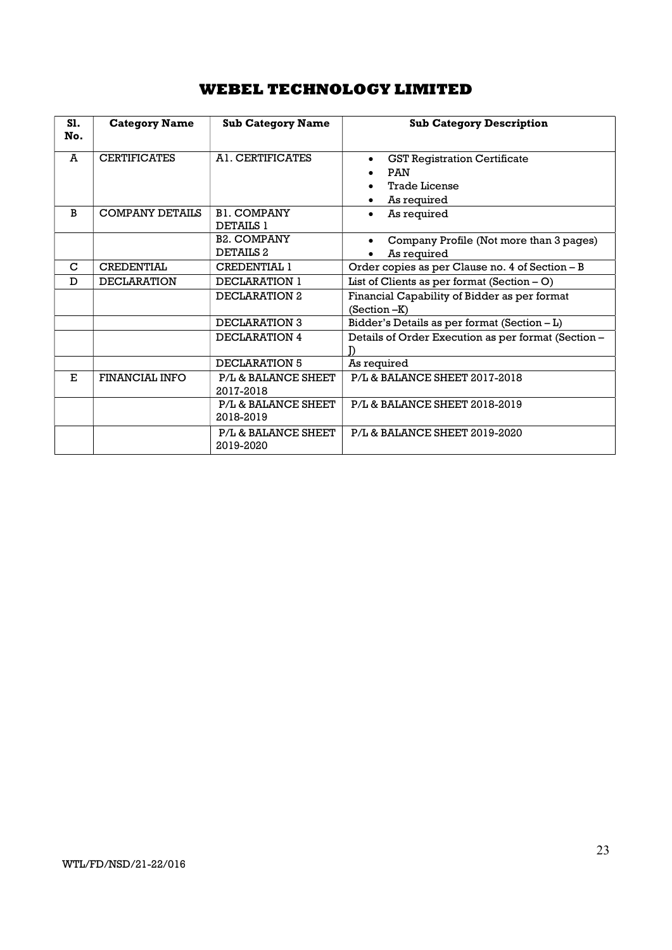| S1.<br>No.  | <b>Category Name</b>  | <b>Sub Category Name</b>                    | <b>Sub Category Description</b>                                                          |  |  |
|-------------|-----------------------|---------------------------------------------|------------------------------------------------------------------------------------------|--|--|
| A           | <b>CERTIFICATES</b>   | AL CERTIFICATES                             | <b>GST Registration Certificate</b><br><b>PAN</b><br><b>Trade License</b><br>As required |  |  |
| B           | COMPANY DETAILS       | <b>B1. COMPANY</b><br><b>DETAILS 1</b>      | As required                                                                              |  |  |
|             |                       | <b>B2. COMPANY</b><br>DETAILS <sub>2</sub>  | Company Profile (Not more than 3 pages)<br>As required                                   |  |  |
| $\mathbf C$ | <b>CREDENTIAL</b>     | <b>CREDENTIAL 1</b>                         | Order copies as per Clause no. 4 of Section - B                                          |  |  |
| D           | <b>DECLARATION</b>    | DECLARATION 1                               | List of Clients as per format (Section $-$ O)                                            |  |  |
|             |                       | DECLARATION 2                               | Financial Capability of Bidder as per format<br>$(Section -K)$                           |  |  |
|             |                       | <b>DECLARATION 3</b>                        | Bidder's Details as per format (Section - L)                                             |  |  |
|             |                       | DECLARATION 4                               | Details of Order Execution as per format (Section -                                      |  |  |
|             |                       | DECLARATION 5                               | As required                                                                              |  |  |
| E.          | <b>FINANCIAL INFO</b> | P/L & BALANCE SHEET<br>2017-2018            | <b>P/L&amp; BALANCE SHEET 2017-2018</b>                                                  |  |  |
|             |                       | P/L & BALANCE SHEET<br>2018-2019            | P/L & BALANCE SHEET 2018-2019                                                            |  |  |
|             |                       | <b>P/L &amp; BALANCE SHEET</b><br>2019-2020 | P/L& BALANCE SHEET 2019-2020                                                             |  |  |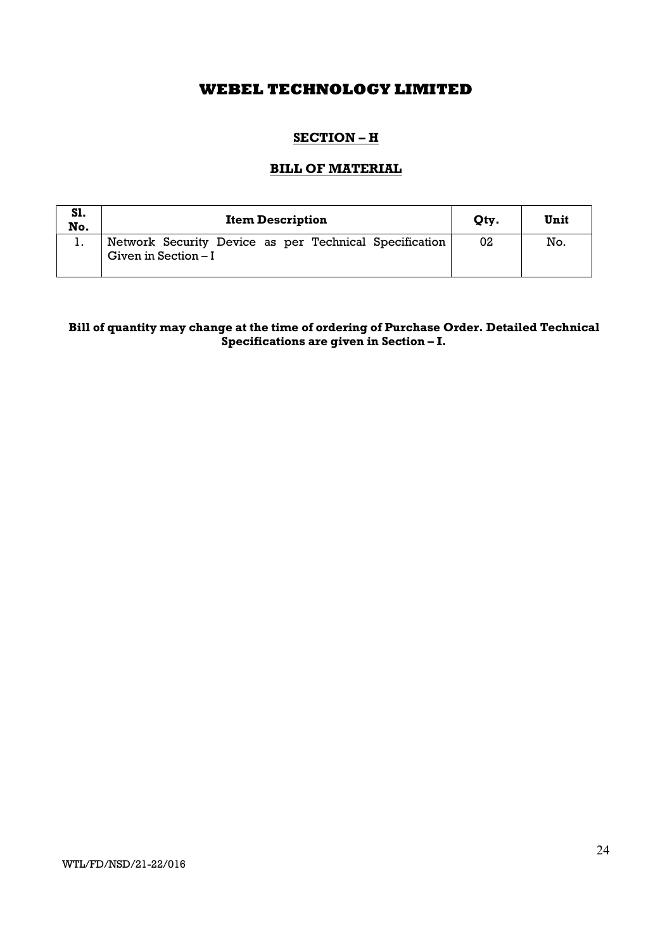# SECTION – H

### BILL OF MATERIAL

| S1.<br>No. | <b>Item Description</b>                                                         | Qty. | Unit |
|------------|---------------------------------------------------------------------------------|------|------|
|            | Network Security Device as per Technical Specification<br>Given in Section $-I$ | 02   | No.  |

## Bill of quantity may change at the time of ordering of Purchase Order. Detailed Technical Specifications are given in Section – I.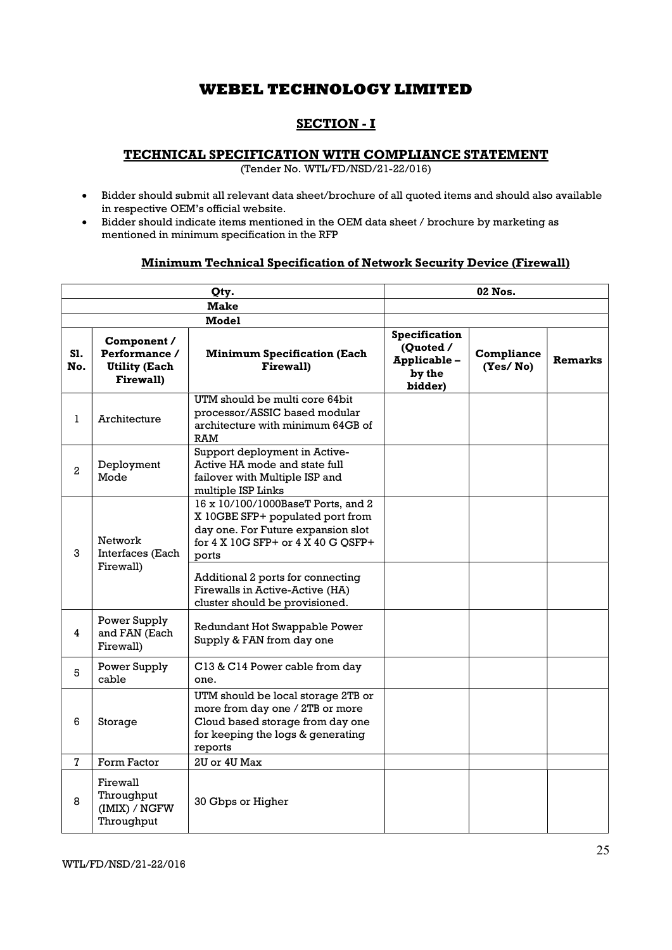# SECTION - I

### TECHNICAL SPECIFICATION WITH COMPLIANCE STATEMENT

(Tender No. WTL/FD/NSD/21-22/016)

- Bidder should submit all relevant data sheet/brochure of all quoted items and should also available in respective OEM's official website.
- Bidder should indicate items mentioned in the OEM data sheet / brochure by marketing as mentioned in minimum specification in the RFP

### Minimum Technical Specification of Network Security Device (Firewall)

| Qty.           |                                                                          |                                                                                                                                                                                                                                     | 02 Nos.                                                        |                               |                |
|----------------|--------------------------------------------------------------------------|-------------------------------------------------------------------------------------------------------------------------------------------------------------------------------------------------------------------------------------|----------------------------------------------------------------|-------------------------------|----------------|
|                |                                                                          | <b>Make</b>                                                                                                                                                                                                                         |                                                                |                               |                |
|                |                                                                          | <b>Model</b>                                                                                                                                                                                                                        |                                                                |                               |                |
| S1.<br>No.     | Component /<br>Performance /<br><b>Utility (Each</b><br><b>Firewall)</b> | <b>Minimum Specification (Each</b><br><b>Firewall)</b>                                                                                                                                                                              | Specification<br>(Quoted /<br>Applicable-<br>by the<br>bidder) | <b>Compliance</b><br>(Yes/No) | <b>Remarks</b> |
| 1              | Architecture                                                             | UTM should be multi core 64bit<br>processor/ASSIC based modular<br>architecture with minimum 64GB of<br><b>RAM</b>                                                                                                                  |                                                                |                               |                |
| $\overline{a}$ | Deployment<br>Mode                                                       | Support deployment in Active-<br>Active HA mode and state full<br>failover with Multiple ISP and<br>multiple ISP Links                                                                                                              |                                                                |                               |                |
| 3              | Network<br>Interfaces (Each<br>Firewall)                                 | 16 x 10/100/1000BaseT Ports, and 2<br>X 10GBE SFP+ populated port from<br>day one. For Future expansion slot<br>for 4 X 10G SFP+ or 4 X 40 G QSFP+<br>ports<br>Additional 2 ports for connecting<br>Firewalls in Active-Active (HA) |                                                                |                               |                |
| 4              | Power Supply<br>and FAN (Each                                            | cluster should be provisioned.<br>Redundant Hot Swappable Power<br>Supply & FAN from day one                                                                                                                                        |                                                                |                               |                |
| 5              | Firewall)<br>Power Supply<br>cable                                       | C13 & C14 Power cable from day<br>one.                                                                                                                                                                                              |                                                                |                               |                |
| 6<br>Storage   |                                                                          | UTM should be local storage 2TB or<br>more from day one / 2TB or more<br>Cloud based storage from day one<br>for keeping the logs & generating<br>reports                                                                           |                                                                |                               |                |
| 7              | Form Factor                                                              | 2U or 4U Max                                                                                                                                                                                                                        |                                                                |                               |                |
| 8              | Firewall<br>Throughput<br>(IMIX) / NGFW<br>Throughput                    | 30 Gbps or Higher                                                                                                                                                                                                                   |                                                                |                               |                |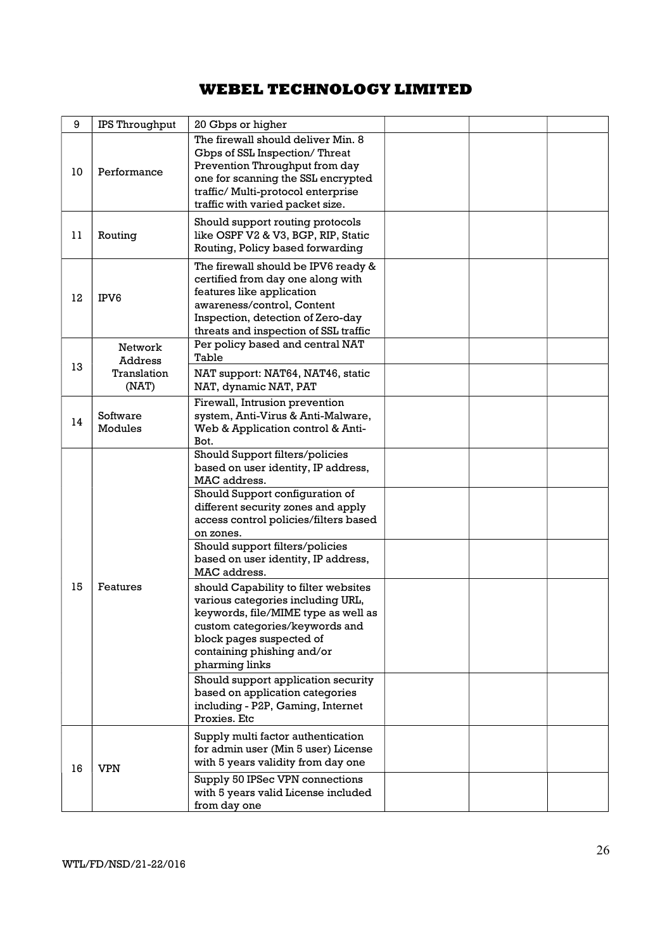| 9  | IPS Throughput                    | 20 Gbps or higher                                                                                                                                                                                                                                                                                                                                                                                                                                                                                                                                                                                                                                                                |  |  |
|----|-----------------------------------|----------------------------------------------------------------------------------------------------------------------------------------------------------------------------------------------------------------------------------------------------------------------------------------------------------------------------------------------------------------------------------------------------------------------------------------------------------------------------------------------------------------------------------------------------------------------------------------------------------------------------------------------------------------------------------|--|--|
| 10 | Performance                       | The firewall should deliver Min. 8<br>Gbps of SSL Inspection/Threat<br>Prevention Throughput from day<br>one for scanning the SSL encrypted<br>traffic/ Multi-protocol enterprise<br>traffic with varied packet size.                                                                                                                                                                                                                                                                                                                                                                                                                                                            |  |  |
| 11 | Routing                           | Should support routing protocols<br>like OSPF V2 & V3, BGP, RIP, Static<br>Routing, Policy based forwarding                                                                                                                                                                                                                                                                                                                                                                                                                                                                                                                                                                      |  |  |
| 12 | IPV6                              | The firewall should be IPV6 ready &<br>certified from day one along with<br>features like application<br>awareness/control, Content<br>Inspection, detection of Zero-day<br>threats and inspection of SSL traffic                                                                                                                                                                                                                                                                                                                                                                                                                                                                |  |  |
| 13 | Network<br>Address<br>Translation | Per policy based and central NAT<br>Table<br>NAT support: NAT64, NAT46, static                                                                                                                                                                                                                                                                                                                                                                                                                                                                                                                                                                                                   |  |  |
|    | (NAT)                             | NAT, dynamic NAT, PAT                                                                                                                                                                                                                                                                                                                                                                                                                                                                                                                                                                                                                                                            |  |  |
| 14 | Software<br>Modules               | Firewall, Intrusion prevention<br>system, Anti-Virus & Anti-Malware,<br>Web & Application control & Anti-<br>Bot.                                                                                                                                                                                                                                                                                                                                                                                                                                                                                                                                                                |  |  |
| 15 | Features                          | Should Support filters/policies<br>based on user identity, IP address,<br>MAC address.<br>Should Support configuration of<br>different security zones and apply<br>access control policies/filters based<br>on zones.<br>Should support filters/policies<br>based on user identity, IP address,<br>MAC address.<br>should Capability to filter websites<br>various categories including URL,<br>keywords, file/MIME type as well as<br>custom categories/keywords and<br>block pages suspected of<br>containing phishing and/or<br>pharming links<br>Should support application security<br>based on application categories<br>including - P2P, Gaming, Internet<br>Proxies. Etc |  |  |
| 16 | <b>VPN</b>                        | Supply multi factor authentication<br>for admin user (Min 5 user) License<br>with 5 years validity from day one<br>Supply 50 IPSec VPN connections<br>with 5 years valid License included<br>from day one                                                                                                                                                                                                                                                                                                                                                                                                                                                                        |  |  |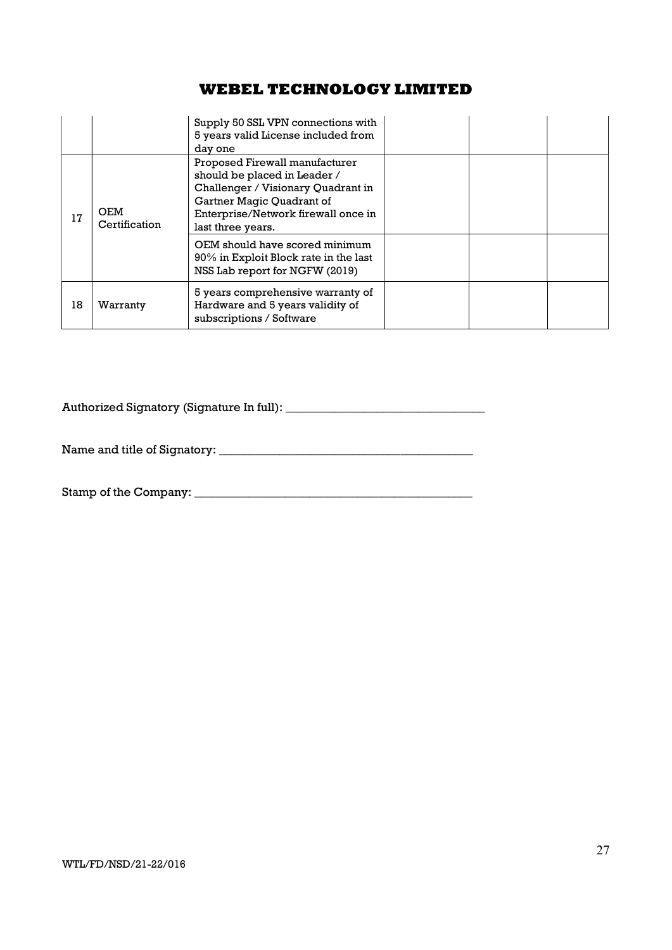|    |                             | Supply 50 SSL VPN connections with<br>5 years valid License included from<br>day one                                                                                                          |  |  |
|----|-----------------------------|-----------------------------------------------------------------------------------------------------------------------------------------------------------------------------------------------|--|--|
| 17 | <b>OEM</b><br>Certification | Proposed Firewall manufacturer<br>should be placed in Leader /<br>Challenger / Visionary Quadrant in<br>Gartner Magic Quadrant of<br>Enterprise/Network firewall once in<br>last three years. |  |  |
|    |                             | OEM should have scored minimum<br>90% in Exploit Block rate in the last<br>NSS Lab report for NGFW (2019)                                                                                     |  |  |
| 18 | Warranty                    | 5 years comprehensive warranty of<br>Hardware and 5 years validity of<br>subscriptions / Software                                                                                             |  |  |

Authorized Signatory (Signature In full): \_\_\_\_\_\_\_\_\_\_\_\_\_\_\_\_\_\_\_\_\_\_\_\_\_\_\_\_\_\_\_\_\_

Name and title of Signatory: \_\_\_\_\_\_\_\_\_\_\_\_\_\_\_\_\_\_\_\_\_\_\_\_\_\_\_\_\_\_\_\_\_\_\_\_\_\_\_\_\_\_

Stamp of the Company: \_\_\_\_\_\_\_\_\_\_\_\_\_\_\_\_\_\_\_\_\_\_\_\_\_\_\_\_\_\_\_\_\_\_\_\_\_\_\_\_\_\_\_\_\_\_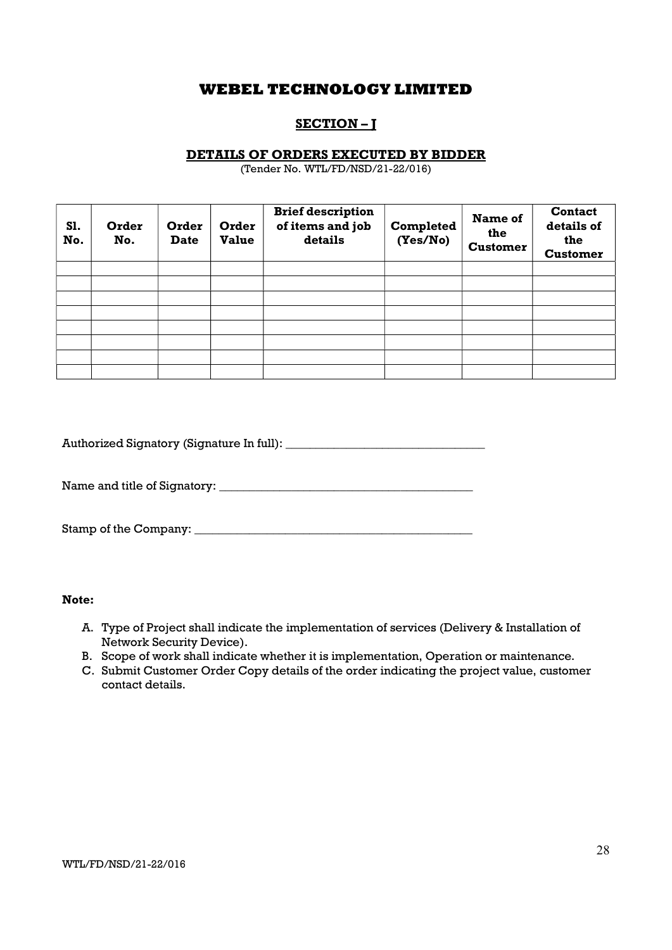## SECTION – J

### DETAILS OF ORDERS EXECUTED BY BIDDER

(Tender No. WTL/FD/NSD/21-22/016)

| S1.<br>No. | Order<br>No. | Order<br><b>Date</b> | Order<br><b>Value</b> | <b>Brief description</b><br>of items and job<br>details | Completed<br>(Yes/No) | Name of<br>the<br><b>Customer</b> | <b>Contact</b><br>details of<br>the<br><b>Customer</b> |
|------------|--------------|----------------------|-----------------------|---------------------------------------------------------|-----------------------|-----------------------------------|--------------------------------------------------------|
|            |              |                      |                       |                                                         |                       |                                   |                                                        |
|            |              |                      |                       |                                                         |                       |                                   |                                                        |
|            |              |                      |                       |                                                         |                       |                                   |                                                        |
|            |              |                      |                       |                                                         |                       |                                   |                                                        |
|            |              |                      |                       |                                                         |                       |                                   |                                                        |
|            |              |                      |                       |                                                         |                       |                                   |                                                        |
|            |              |                      |                       |                                                         |                       |                                   |                                                        |
|            |              |                      |                       |                                                         |                       |                                   |                                                        |

Authorized Signatory (Signature In full): \_\_\_\_\_\_\_\_\_\_\_\_\_\_\_\_\_\_\_\_\_\_\_\_\_\_\_\_\_\_\_\_\_

Name and title of Signatory: \_\_\_\_\_\_\_\_\_\_\_\_\_\_\_\_\_\_\_\_\_\_\_\_\_\_\_\_\_\_\_\_\_\_\_\_\_\_\_\_\_\_

Stamp of the Company: \_\_\_\_\_\_\_\_\_\_\_\_\_\_\_\_\_\_\_\_\_\_\_\_\_\_\_\_\_\_\_\_\_\_\_\_\_\_\_\_\_\_\_\_\_\_

Note:

- A. Type of Project shall indicate the implementation of services (Delivery & Installation of Network Security Device).
- B. Scope of work shall indicate whether it is implementation, Operation or maintenance.
- C. Submit Customer Order Copy details of the order indicating the project value, customer contact details.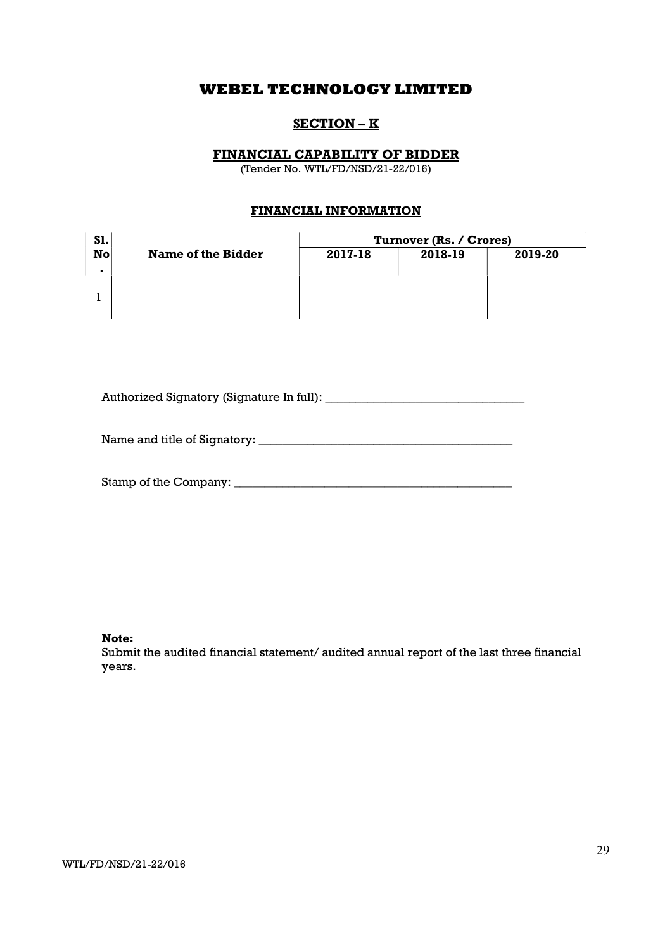## SECTION – K

### FINANCIAL CAPABILITY OF BIDDER

(Tender No. WTL/FD/NSD/21-22/016)

### FINANCIAL INFORMATION

| <b>S1.</b>     |                    | Turnover (Rs. / Crores) |         |         |  |
|----------------|--------------------|-------------------------|---------|---------|--|
| $\mathbf{N}$ o | Name of the Bidder | 2017-18                 | 2018-19 | 2019-20 |  |
|                |                    |                         |         |         |  |
|                |                    |                         |         |         |  |

Authorized Signatory (Signature In full): \_\_\_\_\_\_\_\_\_\_\_\_\_\_\_\_\_\_\_\_\_\_\_\_\_\_\_\_\_\_\_\_\_

Name and title of Signatory: \_\_\_\_\_\_\_\_\_\_\_\_\_\_\_\_\_\_\_\_\_\_\_\_\_\_\_\_\_\_\_\_\_\_\_\_\_\_\_\_\_\_

Stamp of the Company: \_\_\_\_\_\_\_\_\_\_\_\_\_\_\_\_\_\_\_\_\_\_\_\_\_\_\_\_\_\_\_\_\_\_\_\_\_\_\_\_\_\_\_\_\_\_

Note:

Submit the audited financial statement/ audited annual report of the last three financial years.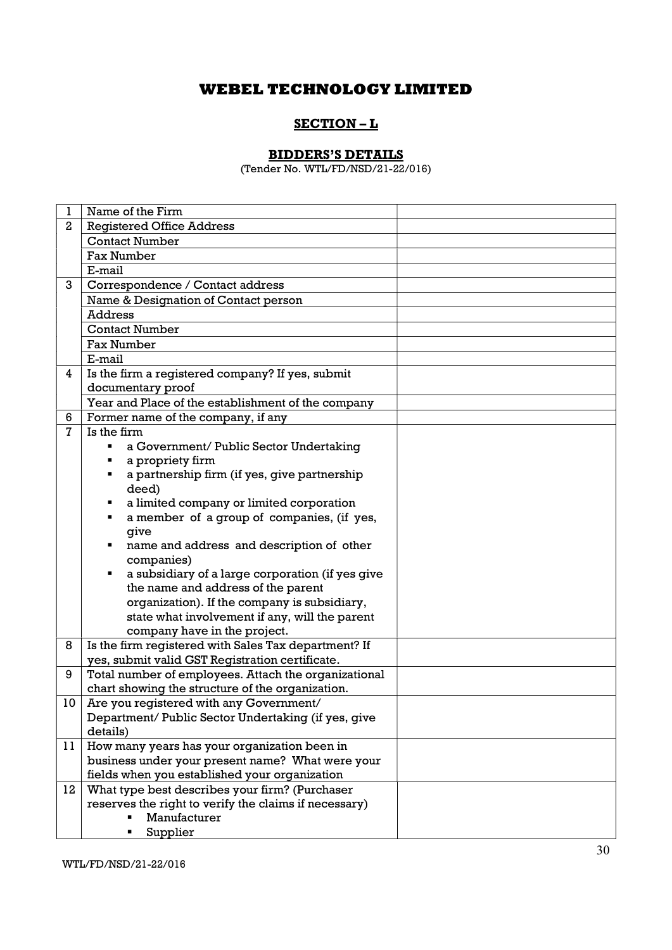### SECTION – L

### BIDDERS'S DETAILS

(Tender No. WTL/FD/NSD/21-22/016)

| 1            | Name of the Firm                                                                       |  |
|--------------|----------------------------------------------------------------------------------------|--|
| $\mathbf{2}$ | <b>Registered Office Address</b>                                                       |  |
|              | <b>Contact Number</b>                                                                  |  |
|              | <b>Fax Number</b>                                                                      |  |
|              | E-mail                                                                                 |  |
| 3            | Correspondence / Contact address                                                       |  |
|              | Name & Designation of Contact person                                                   |  |
|              | <b>Address</b>                                                                         |  |
|              | <b>Contact Number</b>                                                                  |  |
|              | <b>Fax Number</b>                                                                      |  |
|              | E-mail                                                                                 |  |
| 4            | Is the firm a registered company? If yes, submit                                       |  |
|              | documentary proof                                                                      |  |
|              | Year and Place of the establishment of the company                                     |  |
| 6            | Former name of the company, if any                                                     |  |
| $\mathbf{7}$ | Is the firm                                                                            |  |
|              | a Government/ Public Sector Undertaking<br>٠                                           |  |
|              | a propriety firm                                                                       |  |
|              | a partnership firm (if yes, give partnership                                           |  |
|              | deed)                                                                                  |  |
|              | a limited company or limited corporation<br>٠                                          |  |
|              | a member of a group of companies, (if yes,<br>٠                                        |  |
|              | give                                                                                   |  |
|              | name and address and description of other<br>٠                                         |  |
|              | companies)<br>٠                                                                        |  |
|              | a subsidiary of a large corporation (if yes give<br>the name and address of the parent |  |
|              | organization). If the company is subsidiary,                                           |  |
|              | state what involvement if any, will the parent                                         |  |
|              | company have in the project.                                                           |  |
| 8            | Is the firm registered with Sales Tax department? If                                   |  |
|              | yes, submit valid GST Registration certificate.                                        |  |
| 9            | Total number of employees. Attach the organizational                                   |  |
|              | chart showing the structure of the organization.                                       |  |
| 10           | Are you registered with any Government/                                                |  |
|              | Department/ Public Sector Undertaking (if yes, give                                    |  |
|              | details)                                                                               |  |
| 11           | How many years has your organization been in                                           |  |
|              | business under your present name? What were your                                       |  |
|              | fields when you established your organization                                          |  |
| 12           | What type best describes your firm? (Purchaser                                         |  |
|              | reserves the right to verify the claims if necessary)                                  |  |
|              | Manufacturer                                                                           |  |
|              | Supplier                                                                               |  |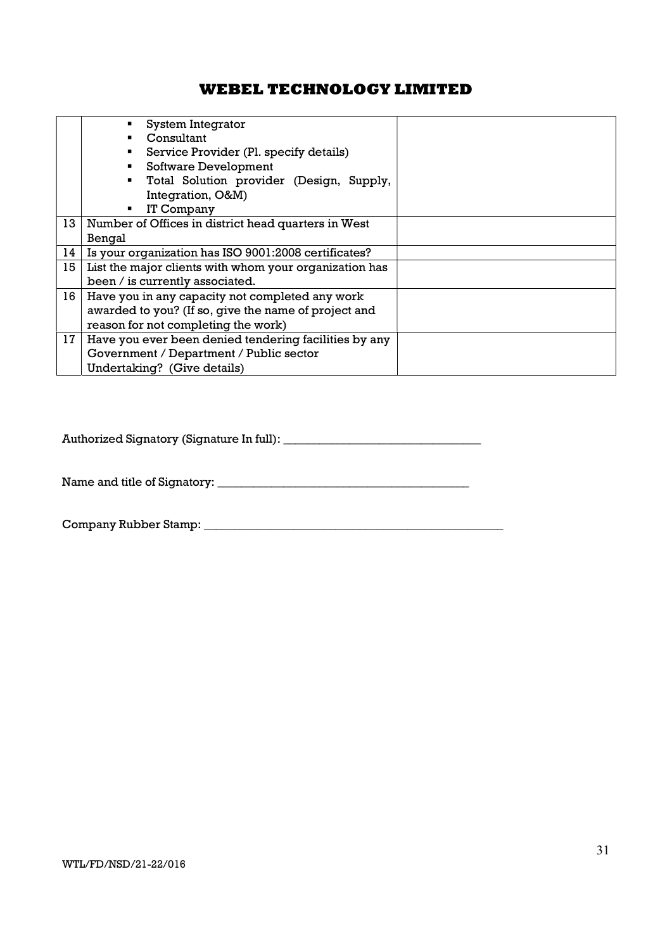|    | System Integrator                                          |  |  |  |  |
|----|------------------------------------------------------------|--|--|--|--|
|    | Consultant                                                 |  |  |  |  |
|    | Service Provider (Pl. specify details)                     |  |  |  |  |
|    | Software Development                                       |  |  |  |  |
|    | Total Solution provider (Design, Supply,<br>$\blacksquare$ |  |  |  |  |
|    | Integration, O&M)                                          |  |  |  |  |
|    | IT Company<br>٠.                                           |  |  |  |  |
| 13 | Number of Offices in district head quarters in West        |  |  |  |  |
|    | Bengal                                                     |  |  |  |  |
| 14 | Is your organization has ISO 9001:2008 certificates?       |  |  |  |  |
| 15 | List the major clients with whom your organization has     |  |  |  |  |
|    | been / is currently associated.                            |  |  |  |  |
| 16 | Have you in any capacity not completed any work            |  |  |  |  |
|    | awarded to you? (If so, give the name of project and       |  |  |  |  |
|    | reason for not completing the work)                        |  |  |  |  |
| 17 | Have you ever been denied tendering facilities by any      |  |  |  |  |
|    | Government / Department / Public sector                    |  |  |  |  |
|    | Undertaking? (Give details)                                |  |  |  |  |

Authorized Signatory (Signature In full): \_\_\_\_\_\_\_\_\_\_\_\_\_\_\_\_\_\_\_\_\_\_\_\_\_\_\_\_\_\_\_\_\_

Name and title of Signatory: \_\_\_\_\_\_\_\_\_\_\_\_\_\_\_\_\_\_\_\_\_\_\_\_\_\_\_\_\_\_\_\_\_\_\_\_\_\_\_\_\_\_

Company Rubber Stamp: \_\_\_\_\_\_\_\_\_\_\_\_\_\_\_\_\_\_\_\_\_\_\_\_\_\_\_\_\_\_\_\_\_\_\_\_\_\_\_\_\_\_\_\_\_\_\_\_\_\_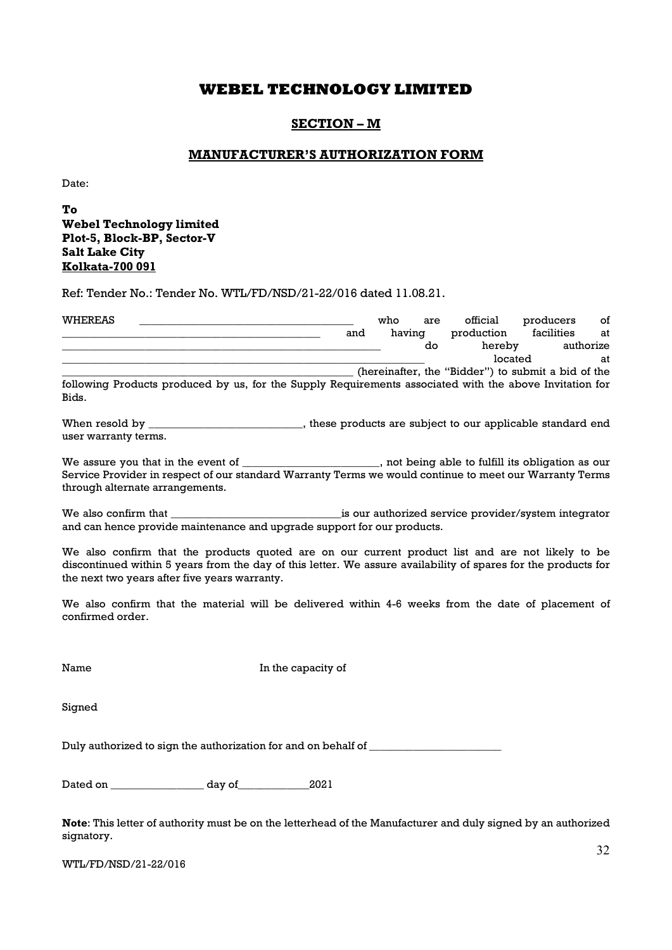### SECTION – M

### MANUFACTURER'S AUTHORIZATION FORM

Date:

To Webel Technology limited Plot-5, Block-BP, Sector-V Salt Lake City Kolkata-700 091

Ref: Tender No.: Tender No. WTL/FD/NSD/21-22/016 dated 11.08.21.

| <b>WHEREAS</b> |                                                                                                         |     | who    | are | official                                           | producers  | οf        |
|----------------|---------------------------------------------------------------------------------------------------------|-----|--------|-----|----------------------------------------------------|------------|-----------|
|                |                                                                                                         | and | having |     | production                                         | facilities | at        |
|                |                                                                                                         |     |        | do  | hereby                                             |            | authorize |
|                |                                                                                                         |     |        |     | located                                            |            | at        |
|                |                                                                                                         |     |        |     | (hereinafter, the "Bidder") to submit a bid of the |            |           |
| Bids.          | following Products produced by us, for the Supply Requirements associated with the above Invitation for |     |        |     |                                                    |            |           |

When resold by \_\_\_\_\_\_\_\_\_\_\_\_\_\_\_\_\_\_\_\_\_\_\_\_\_\_, these products are subject to our applicable standard end user warranty terms.

We assure you that in the event of \_\_\_\_\_\_\_\_\_\_\_\_\_\_\_\_\_\_\_\_\_, not being able to fulfill its obligation as our Service Provider in respect of our standard Warranty Terms we would continue to meet our Warranty Terms through alternate arrangements.

We also confirm that the service of the service provider/system integrator and can hence provide maintenance and upgrade support for our products.

We also confirm that the products quoted are on our current product list and are not likely to be discontinued within 5 years from the day of this letter. We assure availability of spares for the products for the next two years after five years warranty.

We also confirm that the material will be delivered within 4-6 weeks from the date of placement of confirmed order.

Name In the capacity of

Signed

Duly authorized to sign the authorization for and on behalf of \_\_\_\_\_\_\_\_\_\_\_\_\_\_\_\_\_\_

Dated on \_\_\_\_\_\_\_\_\_\_\_\_\_\_\_\_\_ day of\_\_\_\_\_\_\_\_\_\_\_\_\_2021

Note: This letter of authority must be on the letterhead of the Manufacturer and duly signed by an authorized signatory.

WTL/FD/NSD/21-22/016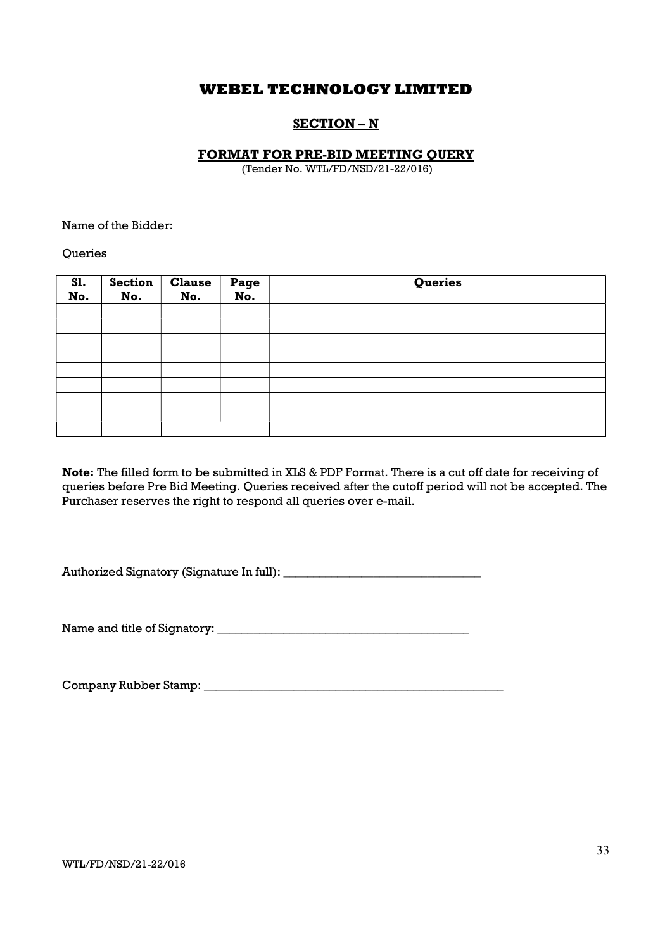## SECTION – N

### FORMAT FOR PRE-BID MEETING QUERY

(Tender No. WTL/FD/NSD/21-22/016)

Name of the Bidder:

**Queries** 

| S1.<br>No. | <b>Section</b><br>No. | <b>Clause</b><br>No. | Page<br>No. | Queries |
|------------|-----------------------|----------------------|-------------|---------|
|            |                       |                      |             |         |
|            |                       |                      |             |         |
|            |                       |                      |             |         |
|            |                       |                      |             |         |
|            |                       |                      |             |         |
|            |                       |                      |             |         |
|            |                       |                      |             |         |
|            |                       |                      |             |         |
|            |                       |                      |             |         |

Note: The filled form to be submitted in XLS & PDF Format. There is a cut off date for receiving of queries before Pre Bid Meeting. Queries received after the cutoff period will not be accepted. The Purchaser reserves the right to respond all queries over e-mail.

Authorized Signatory (Signature In full): \_\_\_\_\_\_\_\_\_\_\_\_\_\_\_\_\_\_\_\_\_\_\_\_\_\_\_\_\_\_\_\_\_

Name and title of Signatory: \_\_\_\_\_\_\_\_\_\_\_\_\_\_\_\_\_\_\_\_\_\_\_\_\_\_\_\_\_\_\_\_\_\_\_\_\_\_\_\_\_\_

Company Rubber Stamp: \_\_\_\_\_\_\_\_\_\_\_\_\_\_\_\_\_\_\_\_\_\_\_\_\_\_\_\_\_\_\_\_\_\_\_\_\_\_\_\_\_\_\_\_\_\_\_\_\_\_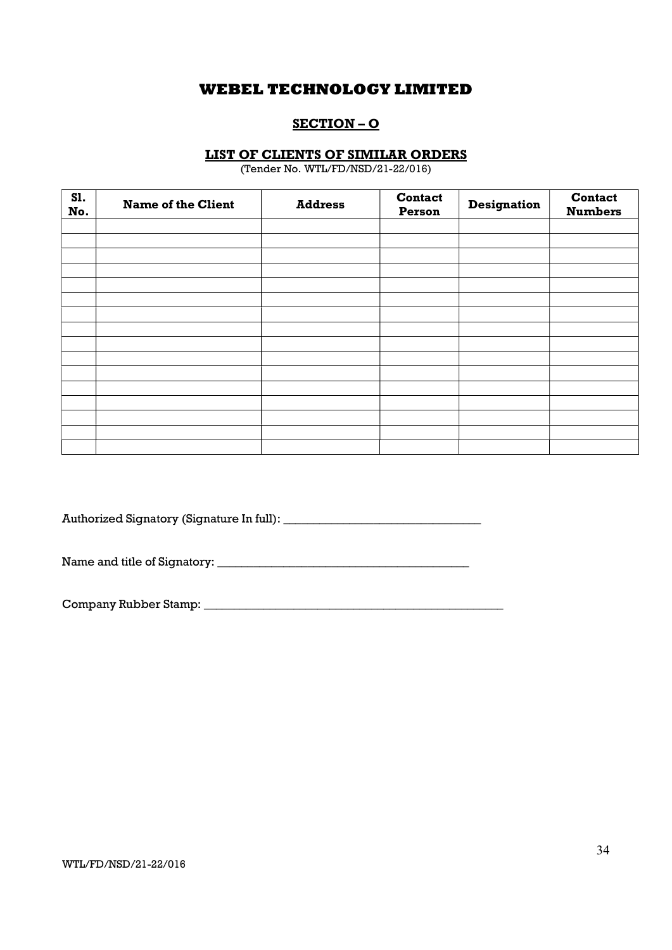## SECTION – O

### LIST OF CLIENTS OF SIMILAR ORDERS

(Tender No. WTL/FD/NSD/21-22/016)

| <b>S1.</b><br>No. | <b>Name of the Client</b> | <b>Address</b> | <b>Contact</b><br>Person | <b>Designation</b> | <b>Contact</b><br><b>Numbers</b> |
|-------------------|---------------------------|----------------|--------------------------|--------------------|----------------------------------|
|                   |                           |                |                          |                    |                                  |
|                   |                           |                |                          |                    |                                  |
|                   |                           |                |                          |                    |                                  |
|                   |                           |                |                          |                    |                                  |
|                   |                           |                |                          |                    |                                  |
|                   |                           |                |                          |                    |                                  |
|                   |                           |                |                          |                    |                                  |
|                   |                           |                |                          |                    |                                  |
|                   |                           |                |                          |                    |                                  |
|                   |                           |                |                          |                    |                                  |
|                   |                           |                |                          |                    |                                  |
|                   |                           |                |                          |                    |                                  |
|                   |                           |                |                          |                    |                                  |
|                   |                           |                |                          |                    |                                  |
|                   |                           |                |                          |                    |                                  |
|                   |                           |                |                          |                    |                                  |

Authorized Signatory (Signature In full): \_\_\_\_\_\_\_\_\_\_\_\_\_\_\_\_\_\_\_\_\_\_\_\_\_\_\_\_\_\_\_\_\_

Name and title of Signatory: \_\_\_\_\_\_\_\_\_\_\_\_\_\_\_\_\_\_\_\_\_\_\_\_\_\_\_\_\_\_\_\_\_\_\_\_\_\_\_\_\_\_

Company Rubber Stamp: \_\_\_\_\_\_\_\_\_\_\_\_\_\_\_\_\_\_\_\_\_\_\_\_\_\_\_\_\_\_\_\_\_\_\_\_\_\_\_\_\_\_\_\_\_\_\_\_\_\_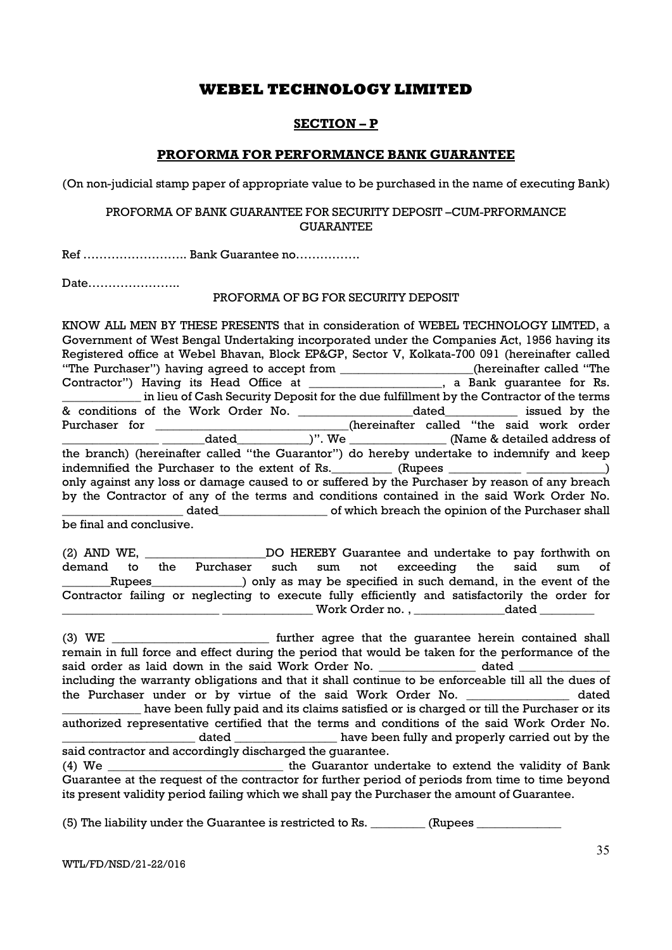### SECTION – P

### PROFORMA FOR PERFORMANCE BANK GUARANTEE

(On non-judicial stamp paper of appropriate value to be purchased in the name of executing Bank)

### PROFORMA OF BANK GUARANTEE FOR SECURITY DEPOSIT –CUM-PRFORMANCE GUARANTEE

Ref …………………….. Bank Guarantee no…………….

Date…………………..

### PROFORMA OF BG FOR SECURITY DEPOSIT

KNOW ALL MEN BY THESE PRESENTS that in consideration of WEBEL TECHNOLOGY LIMTED, a Government of West Bengal Undertaking incorporated under the Companies Act, 1956 having its Registered office at Webel Bhavan, Block EP&GP, Sector V, Kolkata-700 091 (hereinafter called "The Purchaser") having agreed to accept from \_\_\_\_\_\_\_\_\_\_\_\_\_\_\_\_\_\_\_\_\_\_(hereinafter called "The Contractor") Having its Head Office at \_\_\_\_\_\_\_\_\_\_\_\_\_\_\_\_\_\_\_\_\_\_, a Bank guarantee for Rs. \_\_\_\_\_\_\_\_\_\_\_\_\_ in lieu of Cash Security Deposit for the due fulfillment by the Contractor of the terms & conditions of the Work Order No. \_\_\_\_\_\_\_\_\_\_\_\_\_\_\_\_\_\_\_dated\_\_\_\_\_\_\_\_\_\_\_\_ issued by the Purchaser for \_\_\_\_\_\_\_\_\_\_\_\_\_\_\_\_\_\_\_\_\_\_\_\_\_\_\_(hereinafter called "the said work order dated \_\_\_\_\_\_\_\_\_\_\_\_\_)". We \_\_\_\_\_\_\_\_\_\_\_\_\_\_\_\_\_\_\_\_(Name & detailed address of the branch) (hereinafter called "the Guarantor") do hereby undertake to indemnify and keep indemnified the Purchaser to the extent of Rs.  $\qquad \qquad$  (Rupees  $\qquad \qquad$ ) only against any loss or damage caused to or suffered by the Purchaser by reason of any breach by the Contractor of any of the terms and conditions contained in the said Work Order No. \_dated\_\_\_\_\_\_\_\_\_\_\_\_\_\_\_\_\_\_\_\_\_\_\_\_\_\_\_ of which breach the opinion of the Purchaser shall be final and conclusive.

(2) AND WE, The Solution Contribution Contribution Control and undertake to pay forthwith on demand to the Purchaser such sum not exceeding the said sum of \_\_\_\_\_\_\_\_Rupees\_\_\_\_\_\_\_\_\_\_\_\_\_\_\_) only as may be specified in such demand, in the event of the Contractor failing or neglecting to execute fully efficiently and satisfactorily the order for Work Order no. ,  $\qquad \qquad$  dated  $\qquad$ 

(3) WE \_\_\_\_\_\_\_\_\_\_\_\_\_\_\_\_\_\_\_\_\_\_\_\_\_\_ further agree that the guarantee herein contained shall remain in full force and effect during the period that would be taken for the performance of the said order as laid down in the said Work Order No. \_\_\_\_\_\_\_\_\_\_\_\_\_\_\_\_\_\_ dated \_ including the warranty obligations and that it shall continue to be enforceable till all the dues of the Purchaser under or by virtue of the said Work Order No. \_\_\_\_\_\_\_\_\_\_\_\_\_\_\_\_\_ dated \_\_\_\_\_\_\_\_\_\_\_\_\_ have been fully paid and its claims satisfied or is charged or till the Purchaser or its authorized representative certified that the terms and conditions of the said Work Order No. dated have been fully and properly carried out by the said contractor and accordingly discharged the guarantee. (4) We \_\_\_\_\_\_\_\_\_\_\_\_\_\_\_\_\_\_\_\_\_\_\_\_\_\_\_\_\_ the Guarantor undertake to extend the validity of Bank Guarantee at the request of the contractor for further period of periods from time to time beyond

its present validity period failing which we shall pay the Purchaser the amount of Guarantee.

 $(5)$  The liability under the Guarantee is restricted to Rs.  $\qquad \qquad$  (Rupees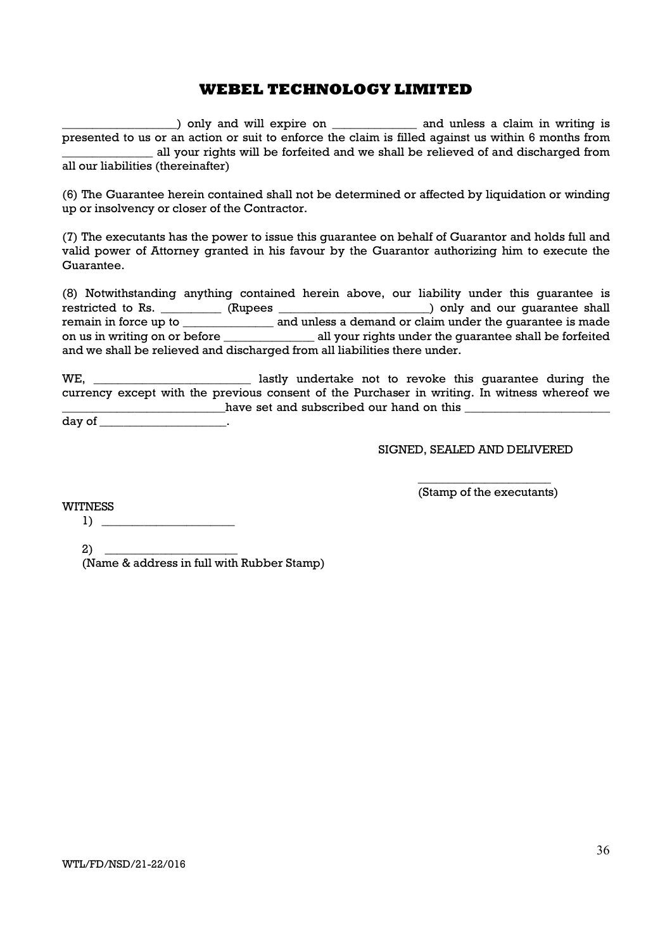$\Box$ ) only and will expire on \_\_\_\_\_\_\_\_\_\_\_\_\_\_\_ and unless a claim in writing is presented to us or an action or suit to enforce the claim is filled against us within 6 months from \_\_\_\_\_\_\_\_\_\_\_\_\_\_\_ all your rights will be forfeited and we shall be relieved of and discharged from all our liabilities (thereinafter)

(6) The Guarantee herein contained shall not be determined or affected by liquidation or winding up or insolvency or closer of the Contractor.

(7) The executants has the power to issue this guarantee on behalf of Guarantor and holds full and valid power of Attorney granted in his favour by the Guarantor authorizing him to execute the Guarantee.

(8) Notwithstanding anything contained herein above, our liability under this guarantee is restricted to Rs. \_\_\_\_\_\_\_\_\_\_ (Rupees \_\_\_\_\_\_\_\_\_\_\_\_\_\_\_\_\_\_\_\_\_\_\_\_\_) only and our guarantee shall remain in force up to \_\_\_\_\_\_\_\_\_\_\_\_\_\_\_\_\_\_ and unless a demand or claim under the guarantee is made on us in writing on or before \_\_\_\_\_\_\_\_\_\_\_\_\_\_\_ all your rights under the guarantee shall be forfeited and we shall be relieved and discharged from all liabilities there under.

WE, we hastly undertake not to revoke this quarantee during the currency except with the previous consent of the Purchaser in writing. In witness whereof we \_\_\_\_\_\_\_\_\_\_\_\_\_\_\_\_\_\_\_\_\_\_\_\_\_\_\_have set and subscribed our hand on this \_\_\_\_\_\_\_\_\_\_\_\_\_\_\_\_\_\_\_\_\_\_\_\_

day of \_\_\_\_\_\_\_\_\_\_\_\_\_\_\_\_\_\_\_\_\_\_.

SIGNED, SEALED AND DELIVERED

WITNESS

1) \_\_\_\_\_\_\_\_\_\_\_\_\_\_\_\_\_\_\_\_\_\_

 $2)$ 

(Name & address in full with Rubber Stamp)

\_\_\_\_\_\_\_\_\_\_\_\_\_\_\_\_\_\_\_\_\_\_ (Stamp of the executants)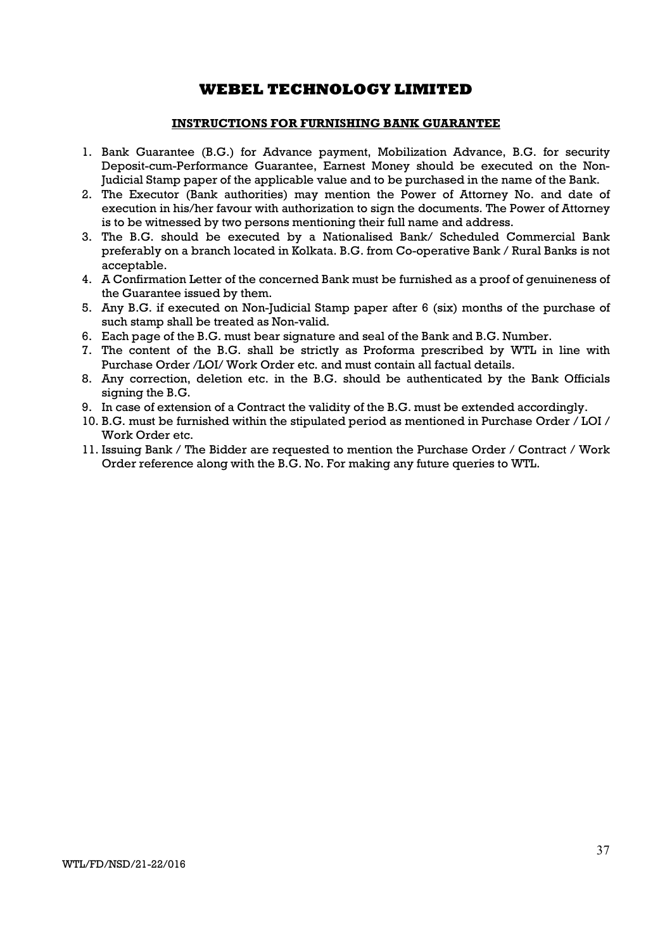### INSTRUCTIONS FOR FURNISHING BANK GUARANTEE

- 1. Bank Guarantee (B.G.) for Advance payment, Mobilization Advance, B.G. for security Deposit-cum-Performance Guarantee, Earnest Money should be executed on the Non-Judicial Stamp paper of the applicable value and to be purchased in the name of the Bank.
- 2. The Executor (Bank authorities) may mention the Power of Attorney No. and date of execution in his/her favour with authorization to sign the documents. The Power of Attorney is to be witnessed by two persons mentioning their full name and address.
- 3. The B.G. should be executed by a Nationalised Bank/ Scheduled Commercial Bank preferably on a branch located in Kolkata. B.G. from Co-operative Bank / Rural Banks is not acceptable.
- 4. A Confirmation Letter of the concerned Bank must be furnished as a proof of genuineness of the Guarantee issued by them.
- 5. Any B.G. if executed on Non-Judicial Stamp paper after 6 (six) months of the purchase of such stamp shall be treated as Non-valid.
- 6. Each page of the B.G. must bear signature and seal of the Bank and B.G. Number.
- 7. The content of the B.G. shall be strictly as Proforma prescribed by WTL in line with Purchase Order /LOI/ Work Order etc. and must contain all factual details.
- 8. Any correction, deletion etc. in the B.G. should be authenticated by the Bank Officials signing the  $B.G.$
- 9. In case of extension of a Contract the validity of the B.G. must be extended accordingly.
- 10. B.G. must be furnished within the stipulated period as mentioned in Purchase Order / LOI / Work Order etc.
- 11. Issuing Bank / The Bidder are requested to mention the Purchase Order / Contract / Work Order reference along with the B.G. No. For making any future queries to WTL.